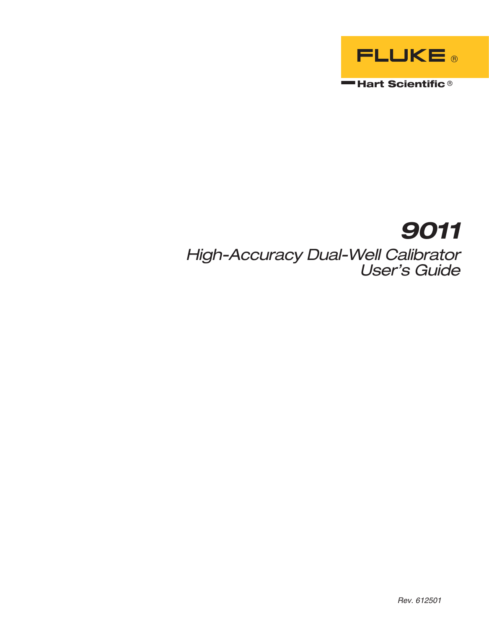

# **9011**

High-Accuracy Dual-Well Calibrator User's Guide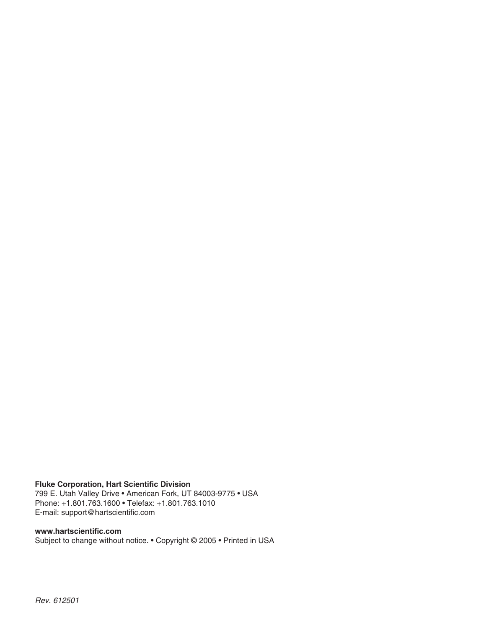#### **Fluke Corporation, Hart Scientific Division**

799 E. Utah Valley Drive • American Fork, UT 84003-9775 • USA Phone: +1.801.763.1600 • Telefax: +1.801.763.1010 E-mail: support@hartscientific.com

#### **www.hartscientific.com**

Subject to change without notice. • Copyright © 2005 • Printed in USA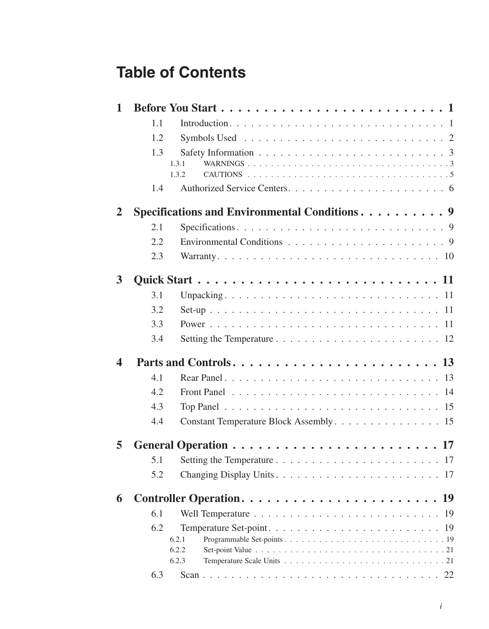# **Table of Contents**

| $\mathbf{1}$ |                       |                                               |  |
|--------------|-----------------------|-----------------------------------------------|--|
|              | 1.1                   |                                               |  |
|              | 1.2                   |                                               |  |
|              | 1.3<br>1.3.1<br>1.3.2 |                                               |  |
|              | 1.4                   |                                               |  |
| 2            |                       | Specifications and Environmental Conditions 9 |  |
|              | 2.1                   |                                               |  |
|              | 2.2                   |                                               |  |
|              | 2.3                   |                                               |  |
| 3            |                       |                                               |  |
|              | 3.1                   |                                               |  |
|              | 3.2                   |                                               |  |
|              | 3.3                   |                                               |  |
|              | 3.4                   |                                               |  |
| 4            |                       |                                               |  |
|              | 4.1                   |                                               |  |
|              | 4.2                   |                                               |  |
|              | 4.3                   |                                               |  |
|              | 4.4                   | Constant Temperature Block Assembly. 15       |  |
| 5            |                       |                                               |  |
|              | 5.1                   |                                               |  |
|              | 5.2                   |                                               |  |
| 6            |                       |                                               |  |
|              | 6.1                   |                                               |  |
|              | 6.2                   |                                               |  |
|              | 6.2.1                 |                                               |  |
|              | 6.2.2<br>6.2.3        |                                               |  |
|              | 6.3                   |                                               |  |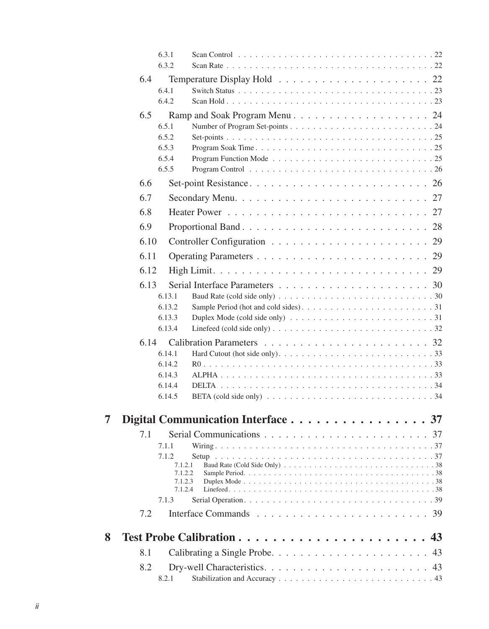|   | 6.3.1<br>6.3.2 |                                                                                                                |  |
|---|----------------|----------------------------------------------------------------------------------------------------------------|--|
|   | 6.4            |                                                                                                                |  |
|   | 6.4.1          |                                                                                                                |  |
|   | 6.4.2          |                                                                                                                |  |
|   | $6.5^{\circ}$  |                                                                                                                |  |
|   | 6.5.1<br>6.5.2 |                                                                                                                |  |
|   | 6.5.3          |                                                                                                                |  |
|   | 6.5.4          |                                                                                                                |  |
|   | 6.5.5          | Program Control $\dots \dots \dots \dots \dots \dots \dots \dots \dots \dots \dots \dots \dots 26$             |  |
|   | 6.6            |                                                                                                                |  |
|   | 6.7            | 27                                                                                                             |  |
|   | 6.8            | 27                                                                                                             |  |
|   | 6.9            | 28                                                                                                             |  |
|   | 6.10           | 29                                                                                                             |  |
|   | 6.11           | 29                                                                                                             |  |
|   | 6.12           | 29                                                                                                             |  |
|   | 6.13           |                                                                                                                |  |
|   | 6.13.1         | 6.13.2                                                                                                         |  |
|   |                | 6.13.3<br>Duplex Mode (cold side only) $\ldots \ldots \ldots \ldots \ldots \ldots \ldots \ldots \ldots 31$     |  |
|   |                | 6.13.4<br>Linefeed (cold side only) $\ldots \ldots \ldots \ldots \ldots \ldots \ldots \ldots \ldots \ldots 32$ |  |
|   | 6.14           |                                                                                                                |  |
|   | 6.14.1         | 6.14.2                                                                                                         |  |
|   |                | 6.14.3                                                                                                         |  |
|   |                | 6.14.4                                                                                                         |  |
|   |                | 6.14.5                                                                                                         |  |
| 7 |                | Digital Communication Interface 37                                                                             |  |
|   | 7.1            |                                                                                                                |  |
|   | 7.1.1          |                                                                                                                |  |
|   | 7.1.2          |                                                                                                                |  |
|   |                | 7.1.2.1<br>7.1.2.2                                                                                             |  |
|   |                | 7.1.2.3<br>7.1.2.4                                                                                             |  |
|   | 7.1.3          |                                                                                                                |  |
|   | 7.2            |                                                                                                                |  |
| 8 |                | 43                                                                                                             |  |
|   |                |                                                                                                                |  |
|   | 8.1            | 43                                                                                                             |  |
|   | 8.2<br>8.2.1   | 43                                                                                                             |  |
|   |                |                                                                                                                |  |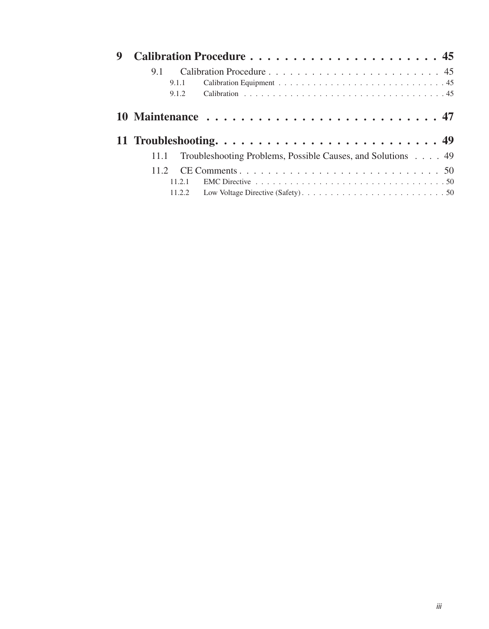| 9 |        |                                                                                                            |  |  |  |  |
|---|--------|------------------------------------------------------------------------------------------------------------|--|--|--|--|
|   | 9.1    |                                                                                                            |  |  |  |  |
|   | 9.1.1  |                                                                                                            |  |  |  |  |
|   |        | 9.1.2                                                                                                      |  |  |  |  |
|   |        |                                                                                                            |  |  |  |  |
|   |        |                                                                                                            |  |  |  |  |
|   | 11.1   | Troubleshooting Problems, Possible Causes, and Solutions 49                                                |  |  |  |  |
|   | 11.2.  |                                                                                                            |  |  |  |  |
|   | 11.2.1 | EMC Directive $\ldots \ldots \ldots \ldots \ldots \ldots \ldots \ldots \ldots \ldots \ldots \ldots \ldots$ |  |  |  |  |
|   |        |                                                                                                            |  |  |  |  |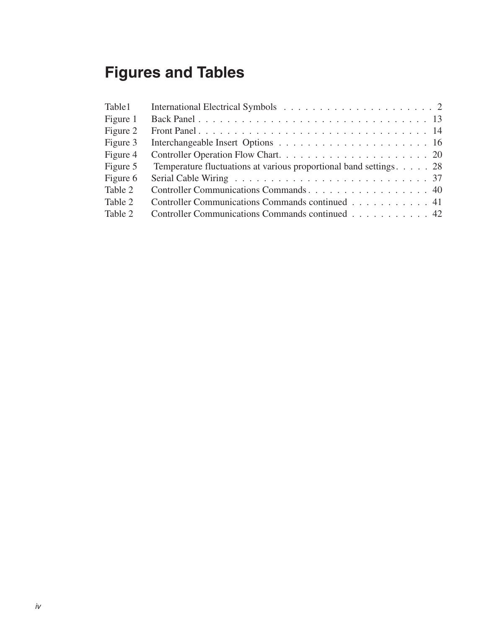# **Figures and Tables**

| Table 1  |                                                                    |
|----------|--------------------------------------------------------------------|
| Figure 1 |                                                                    |
| Figure 2 |                                                                    |
| Figure 3 |                                                                    |
| Figure 4 |                                                                    |
| Figure 5 | Temperature fluctuations at various proportional band settings. 28 |
| Figure 6 |                                                                    |
| Table 2  |                                                                    |
| Table 2  | Controller Communications Commands continued 41                    |
| Table 2  | Controller Communications Commands continued 42                    |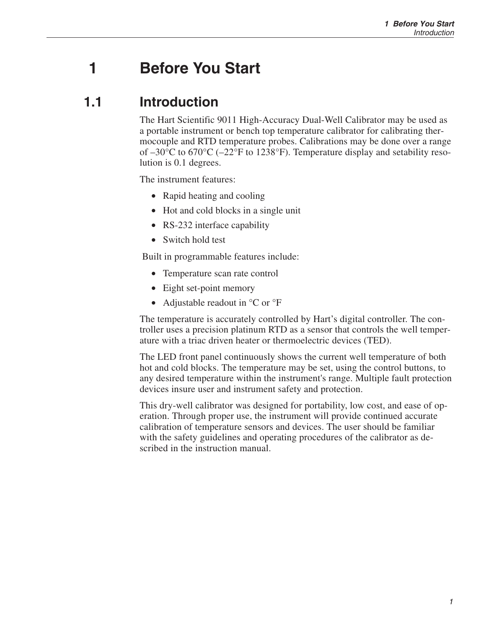## <span id="page-6-0"></span>**1 Before You Start**

### **1.1 Introduction**

The Hart Scientific 9011 High-Accuracy Dual-Well Calibrator may be used as a portable instrument or bench top temperature calibrator for calibrating thermocouple and RTD temperature probes. Calibrations may be done over a range of –30°C to 670°C (–22°F to 1238°F). Temperature display and setability resolution is 0.1 degrees.

The instrument features:

- Rapid heating and cooling
- Hot and cold blocks in a single unit
- RS-232 interface capability
- Switch hold test

Built in programmable features include:

- Temperature scan rate control
- Eight set-point memory
- Adjustable readout in  ${}^{\circ}C$  or  ${}^{\circ}F$

The temperature is accurately controlled by Hart's digital controller. The controller uses a precision platinum RTD as a sensor that controls the well temperature with a triac driven heater or thermoelectric devices (TED).

The LED front panel continuously shows the current well temperature of both hot and cold blocks. The temperature may be set, using the control buttons, to any desired temperature within the instrument's range. Multiple fault protection devices insure user and instrument safety and protection.

This dry-well calibrator was designed for portability, low cost, and ease of operation. Through proper use, the instrument will provide continued accurate calibration of temperature sensors and devices. The user should be familiar with the safety guidelines and operating procedures of the calibrator as described in the instruction manual.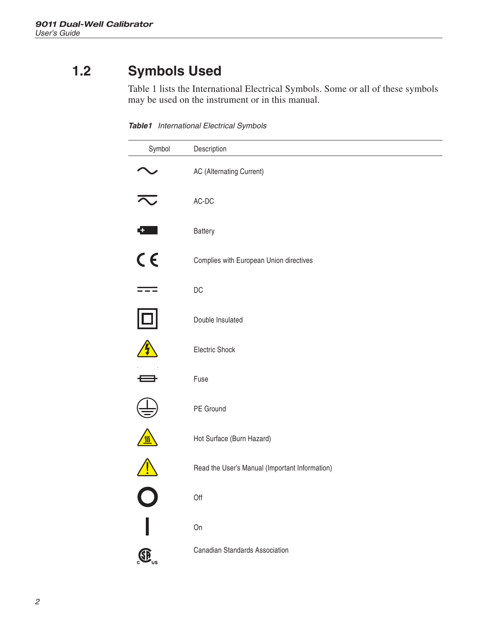## <span id="page-7-0"></span>**1.2 Symbols Used**

Table 1 lists the International Electrical Symbols. Some or all of these symbols may be used on the instrument or in this manual.

**Table1** International Electrical Symbols

| Symbol                    | Description                                    |
|---------------------------|------------------------------------------------|
|                           | AC (Alternating Current)                       |
| $\overline{\sim}$         | $AC-DC$                                        |
| $\mathbf{G}$ .            | Battery                                        |
| $C \in$                   | Complies with European Union directives        |
|                           | $DC$                                           |
| ₫                         | Double Insulated                               |
| $\boldsymbol{\psi}$       | Electric Shock                                 |
| D                         | Fuse                                           |
|                           | PE Ground                                      |
| $\sqrt{\frac{m}{2}}$      | Hot Surface (Burn Hazard)                      |
| $\bigwedge$               | Read the User's Manual (Important Information) |
| $\overline{O}$            | Off                                            |
|                           | On                                             |
| $\bigoplus$ <sub>us</sub> | Canadian Standards Association                 |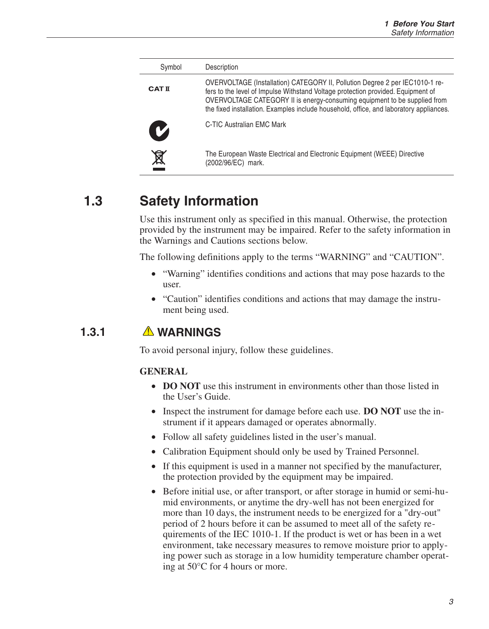<span id="page-8-0"></span>

| Symbol        | Description                                                                                                                                                                                                                                                                                                                             |
|---------------|-----------------------------------------------------------------------------------------------------------------------------------------------------------------------------------------------------------------------------------------------------------------------------------------------------------------------------------------|
| <b>CAT II</b> | OVERVOLTAGE (Installation) CATEGORY II, Pollution Degree 2 per IEC1010-1 re-<br>fers to the level of Impulse Withstand Voltage protection provided. Equipment of<br>OVERVOLTAGE CATEGORY II is energy-consuming equipment to be supplied from<br>the fixed installation. Examples include household, office, and laboratory appliances. |
| M             | C-TIC Australian EMC Mark                                                                                                                                                                                                                                                                                                               |
|               | The European Waste Electrical and Electronic Equipment (WEEE) Directive<br>(2002/96/EC) mark.                                                                                                                                                                                                                                           |

## **1.3 Safety Information**

Use this instrument only as specified in this manual. Otherwise, the protection provided by the instrument may be impaired. Refer to the safety information in the Warnings and Cautions sections below.

The following definitions apply to the terms "WARNING" and "CAUTION".

- "Warning" identifies conditions and actions that may pose hazards to the user.
- "Caution" identifies conditions and actions that may damage the instrument being used.

### **1.3.1 WARNINGS**

To avoid personal injury, follow these guidelines.

#### **GENERAL**

- **DO NOT** use this instrument in environments other than those listed in the User's Guide.
- Inspect the instrument for damage before each use. **DO NOT** use the instrument if it appears damaged or operates abnormally.
- Follow all safety guidelines listed in the user's manual.
- Calibration Equipment should only be used by Trained Personnel.
- If this equipment is used in a manner not specified by the manufacturer, the protection provided by the equipment may be impaired.
- Before initial use, or after transport, or after storage in humid or semi-humid environments, or anytime the dry-well has not been energized for more than 10 days, the instrument needs to be energized for a "dry-out" period of 2 hours before it can be assumed to meet all of the safety requirements of the IEC 1010-1. If the product is wet or has been in a wet environment, take necessary measures to remove moisture prior to applying power such as storage in a low humidity temperature chamber operating at 50°C for 4 hours or more.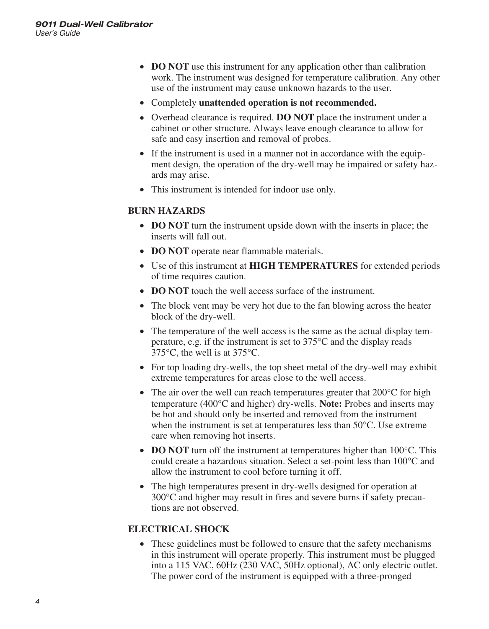- **DO NOT** use this instrument for any application other than calibration work. The instrument was designed for temperature calibration. Any other use of the instrument may cause unknown hazards to the user.
- Completely **unattended operation is not recommended.**
- Overhead clearance is required. **DO NOT** place the instrument under a cabinet or other structure. Always leave enough clearance to allow for safe and easy insertion and removal of probes.
- If the instrument is used in a manner not in accordance with the equipment design, the operation of the dry-well may be impaired or safety hazards may arise.
- This instrument is intended for indoor use only.

#### **BURN HAZARDS**

- **DO NOT** turn the instrument upside down with the inserts in place; the inserts will fall out.
- **DO NOT** operate near flammable materials.
- Use of this instrument at **HIGH TEMPERATURES** for extended periods of time requires caution.
- **DO NOT** touch the well access surface of the instrument.
- The block vent may be very hot due to the fan blowing across the heater block of the dry-well.
- The temperature of the well access is the same as the actual display temperature, e.g. if the instrument is set to 375°C and the display reads 375°C, the well is at 375°C.
- For top loading dry-wells, the top sheet metal of the dry-well may exhibit extreme temperatures for areas close to the well access.
- The air over the well can reach temperatures greater that 200 °C for high temperature (400°C and higher) dry-wells. **Note:** Probes and inserts may be hot and should only be inserted and removed from the instrument when the instrument is set at temperatures less than 50°C. Use extreme care when removing hot inserts.
- **DO NOT** turn off the instrument at temperatures higher than 100<sup>o</sup>C. This could create a hazardous situation. Select a set-point less than 100°C and allow the instrument to cool before turning it off.
- The high temperatures present in dry-wells designed for operation at 300°C and higher may result in fires and severe burns if safety precautions are not observed.

#### **ELECTRICAL SHOCK**

• These guidelines must be followed to ensure that the safety mechanisms in this instrument will operate properly. This instrument must be plugged into a 115 VAC, 60Hz (230 VAC, 50Hz optional), AC only electric outlet. The power cord of the instrument is equipped with a three-pronged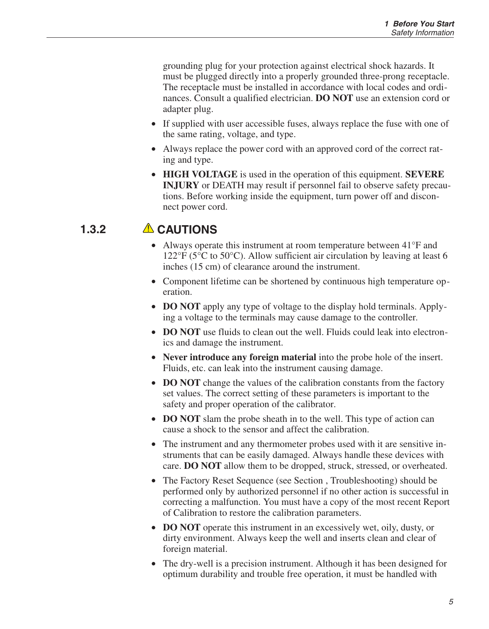<span id="page-10-0"></span>grounding plug for your protection against electrical shock hazards. It must be plugged directly into a properly grounded three-prong receptacle. The receptacle must be installed in accordance with local codes and ordinances. Consult a qualified electrician. **DO NOT** use an extension cord or adapter plug.

- If supplied with user accessible fuses, always replace the fuse with one of the same rating, voltage, and type.
- Always replace the power cord with an approved cord of the correct rating and type.
- **HIGH VOLTAGE** is used in the operation of this equipment. **SEVERE INJURY** or DEATH may result if personnel fail to observe safety precautions. Before working inside the equipment, turn power off and disconnect power cord.

### **1.3.2 CAUTIONS**

- Always operate this instrument at room temperature between 41°F and  $122^{\circ}$ F (5<sup>o</sup>C to 50<sup>o</sup>C). Allow sufficient air circulation by leaving at least 6 inches (15 cm) of clearance around the instrument.
- Component lifetime can be shortened by continuous high temperature operation.
- **DO NOT** apply any type of voltage to the display hold terminals. Applying a voltage to the terminals may cause damage to the controller.
- **DO NOT** use fluids to clean out the well. Fluids could leak into electronics and damage the instrument.
- **Never introduce any foreign material** into the probe hole of the insert. Fluids, etc. can leak into the instrument causing damage.
- **DO NOT** change the values of the calibration constants from the factory set values. The correct setting of these parameters is important to the safety and proper operation of the calibrator.
- **DO NOT** slam the probe sheath in to the well. This type of action can cause a shock to the sensor and affect the calibration.
- The instrument and any thermometer probes used with it are sensitive instruments that can be easily damaged. Always handle these devices with care. **DO NOT** allow them to be dropped, struck, stressed, or overheated.
- The Factory Reset Sequence (see Section, Troubleshooting) should be performed only by authorized personnel if no other action is successful in correcting a malfunction. You must have a copy of the most recent Report of Calibration to restore the calibration parameters.
- **DO NOT** operate this instrument in an excessively wet, oily, dusty, or dirty environment. Always keep the well and inserts clean and clear of foreign material.
- The dry-well is a precision instrument. Although it has been designed for optimum durability and trouble free operation, it must be handled with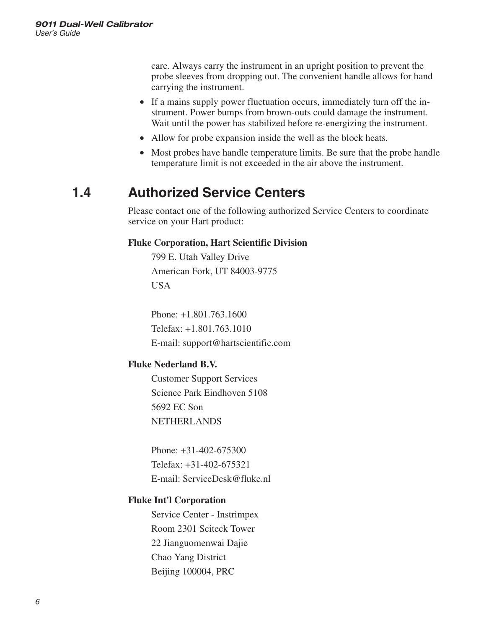<span id="page-11-0"></span>care. Always carry the instrument in an upright position to prevent the probe sleeves from dropping out. The convenient handle allows for hand carrying the instrument.

- If a mains supply power fluctuation occurs, immediately turn off the instrument. Power bumps from brown-outs could damage the instrument. Wait until the power has stabilized before re-energizing the instrument.
- Allow for probe expansion inside the well as the block heats.
- Most probes have handle temperature limits. Be sure that the probe handle temperature limit is not exceeded in the air above the instrument.

### **1.4 Authorized Service Centers**

Please contact one of the following authorized Service Centers to coordinate service on your Hart product:

#### **Fluke Corporation, Hart Scientific Division**

799 E. Utah Valley Drive American Fork, UT 84003-9775 USA

Phone: +1.801.763.1600 Telefax: +1.801.763.1010 E-mail: support@hartscientific.com

#### **Fluke Nederland B.V.**

Customer Support Services Science Park Eindhoven 5108 5692 EC Son NETHERLANDS

Phone: +31-402-675300 Telefax: +31-402-675321 E-mail: ServiceDesk@fluke.nl

#### **Fluke Int'l Corporation**

Service Center - Instrimpex Room 2301 Sciteck Tower 22 Jianguomenwai Dajie Chao Yang District Beijing 100004, PRC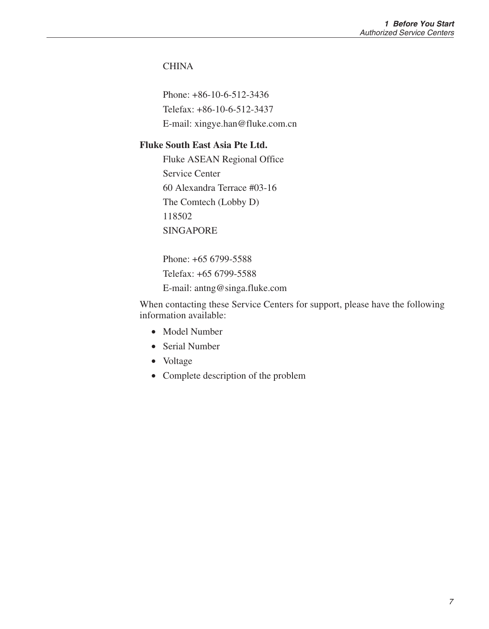#### **CHINA**

Phone: +86-10-6-512-3436 Telefax: +86-10-6-512-3437 E-mail: xingye.han@fluke.com.cn

#### **Fluke South East Asia Pte Ltd.**

Fluke ASEAN Regional Office Service Center 60 Alexandra Terrace #03-16 The Comtech (Lobby D) 118502 SINGAPORE

Phone: +65 6799-5588 Telefax: +65 6799-5588 E-mail: antng@singa.fluke.com

When contacting these Service Centers for support, please have the following information available:

- Model Number
- Serial Number
- Voltage
- Complete description of the problem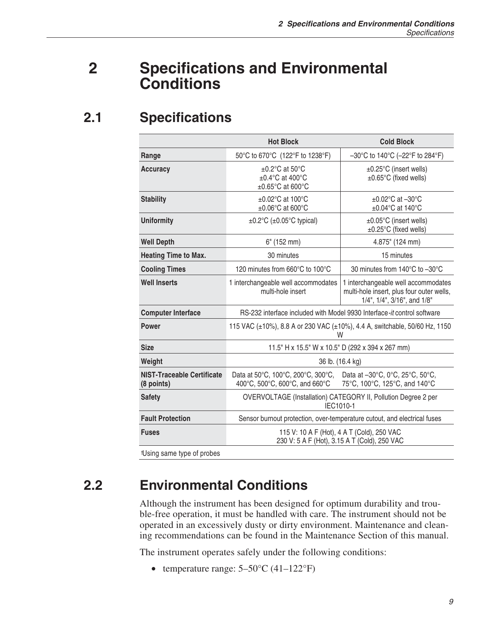## <span id="page-14-0"></span>**2 Specifications and Environmental Conditions**

## **2.1 Specifications**

|                                                       | <b>Hot Block</b>                                                                                                                         | <b>Cold Block</b>                                                                                               |  |  |  |  |  |  |  |
|-------------------------------------------------------|------------------------------------------------------------------------------------------------------------------------------------------|-----------------------------------------------------------------------------------------------------------------|--|--|--|--|--|--|--|
| Range                                                 | 50°C to 670°C (122°F to 1238°F)                                                                                                          | $-30^{\circ}$ C to 140 $^{\circ}$ C ( $-22^{\circ}$ F to 284 $^{\circ}$ F)                                      |  |  |  |  |  |  |  |
| <b>Accuracy</b>                                       | $\pm 0.2$ °C at 50°C<br>±0.4°C at 400°C<br>$\pm 0.65^{\circ}$ C at 600 $^{\circ}$ C                                                      | ±0.25°C (insert wells)<br>±0.65°C (fixed wells)                                                                 |  |  |  |  |  |  |  |
| <b>Stability</b>                                      | $\pm 0.02$ °C at 100°C<br>$\pm 0.06^{\circ}$ C at 600 $^{\circ}$ C                                                                       | $\pm 0.02$ °C at -30°C<br>$\pm 0.04$ °C at 140°C                                                                |  |  |  |  |  |  |  |
| Uniformity                                            | $\pm 0.2^{\circ}$ C ( $\pm 0.05^{\circ}$ C typical)                                                                                      | ±0.05°C (insert wells)<br>±0.25°C (fixed wells)                                                                 |  |  |  |  |  |  |  |
| <b>Well Depth</b>                                     | $6"$ (152 mm)                                                                                                                            | 4.875" (124 mm)                                                                                                 |  |  |  |  |  |  |  |
| <b>Heating Time to Max.</b>                           | 30 minutes                                                                                                                               | 15 minutes                                                                                                      |  |  |  |  |  |  |  |
| <b>Cooling Times</b>                                  | 120 minutes from 660°C to 100°C                                                                                                          | 30 minutes from 140°C to -30°C                                                                                  |  |  |  |  |  |  |  |
| <b>Well Inserts</b>                                   | 1 interchangeable well accommodates<br>multi-hole insert                                                                                 | 1 interchangeable well accommodates<br>multi-hole insert, plus four outer wells,<br>1/4", 1/4", 3/16", and 1/8" |  |  |  |  |  |  |  |
| <b>Computer Interface</b>                             | RS-232 interface included with Model 9930 Interface-it control software                                                                  |                                                                                                                 |  |  |  |  |  |  |  |
| Power                                                 | 115 VAC (±10%), 8.8 A or 230 VAC (±10%), 4.4 A, switchable, 50/60 Hz, 1150<br>w                                                          |                                                                                                                 |  |  |  |  |  |  |  |
| <b>Size</b>                                           |                                                                                                                                          | 11.5" H x 15.5" W x 10.5" D (292 x 394 x 267 mm)                                                                |  |  |  |  |  |  |  |
| Weight                                                |                                                                                                                                          | 36 lb. (16.4 kg)                                                                                                |  |  |  |  |  |  |  |
| <b>NIST-Traceable Certificate</b><br>(8 points)       | Data at 50°C, 100°C, 200°C, 300°C,<br>Data at -30°C, 0°C, 25°C, 50°C,<br>400°C, 500°C, 600°C, and 660°C<br>75°C, 100°C, 125°C, and 140°C |                                                                                                                 |  |  |  |  |  |  |  |
| <b>Safety</b>                                         | OVERVOLTAGE (Installation) CATEGORY II, Pollution Degree 2 per<br>IEC1010-1                                                              |                                                                                                                 |  |  |  |  |  |  |  |
| <b>Fault Protection</b>                               |                                                                                                                                          | Sensor burnout protection, over-temperature cutout, and electrical fuses                                        |  |  |  |  |  |  |  |
| <b>Fuses</b>                                          | 115 V: 10 A F (Hot), 4 A T (Cold), 250 VAC<br>230 V: 5 A F (Hot), 3.15 A T (Cold), 250 VAC                                               |                                                                                                                 |  |  |  |  |  |  |  |
| .<br>$\sim$ $\sim$ $\sim$ $\sim$ $\sim$ $\sim$ $\sim$ |                                                                                                                                          |                                                                                                                 |  |  |  |  |  |  |  |

† Using same type of probes

## **2.2 Environmental Conditions**

Although the instrument has been designed for optimum durability and trouble-free operation, it must be handled with care. The instrument should not be operated in an excessively dusty or dirty environment. Maintenance and cleaning recommendations can be found in the Maintenance Section of this manual.

The instrument operates safely under the following conditions:

• temperature range:  $5-50^{\circ}$ C (41–122°F)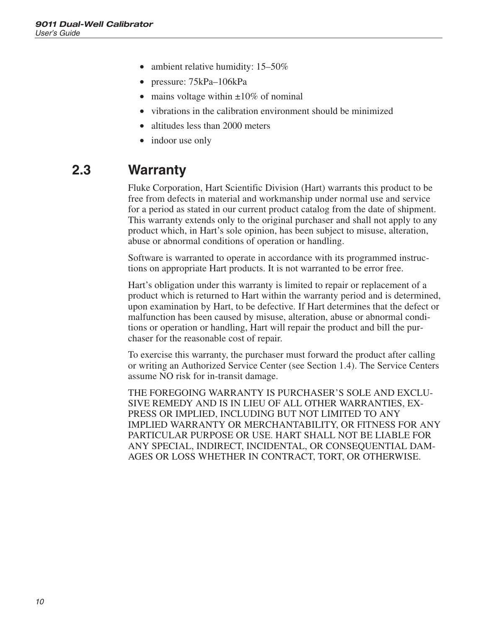- <span id="page-15-0"></span>• ambient relative humidity: 15–50%
- pressure: 75kPa–106kPa
- mains voltage within  $\pm 10\%$  of nominal
- vibrations in the calibration environment should be minimized
- altitudes less than 2000 meters
- indoor use only

### **2.3 Warranty**

Fluke Corporation, Hart Scientific Division (Hart) warrants this product to be free from defects in material and workmanship under normal use and service for a period as stated in our current product catalog from the date of shipment. This warranty extends only to the original purchaser and shall not apply to any product which, in Hart's sole opinion, has been subject to misuse, alteration, abuse or abnormal conditions of operation or handling.

Software is warranted to operate in accordance with its programmed instructions on appropriate Hart products. It is not warranted to be error free.

Hart's obligation under this warranty is limited to repair or replacement of a product which is returned to Hart within the warranty period and is determined, upon examination by Hart, to be defective. If Hart determines that the defect or malfunction has been caused by misuse, alteration, abuse or abnormal conditions or operation or handling, Hart will repair the product and bill the purchaser for the reasonable cost of repair.

To exercise this warranty, the purchaser must forward the product after calling or writing an Authorized Service Center (see Section [1.4](#page-11-0)). The Service Centers assume NO risk for in-transit damage.

THE FOREGOING WARRANTY IS PURCHASER'S SOLE AND EXCLU-SIVE REMEDY AND IS IN LIEU OF ALL OTHER WARRANTIES, EX-PRESS OR IMPLIED, INCLUDING BUT NOT LIMITED TO ANY IMPLIED WARRANTY OR MERCHANTABILITY, OR FITNESS FOR ANY PARTICULAR PURPOSE OR USE. HART SHALL NOT BE LIABLE FOR ANY SPECIAL, INDIRECT, INCIDENTAL, OR CONSEQUENTIAL DAM-AGES OR LOSS WHETHER IN CONTRACT, TORT, OR OTHERWISE.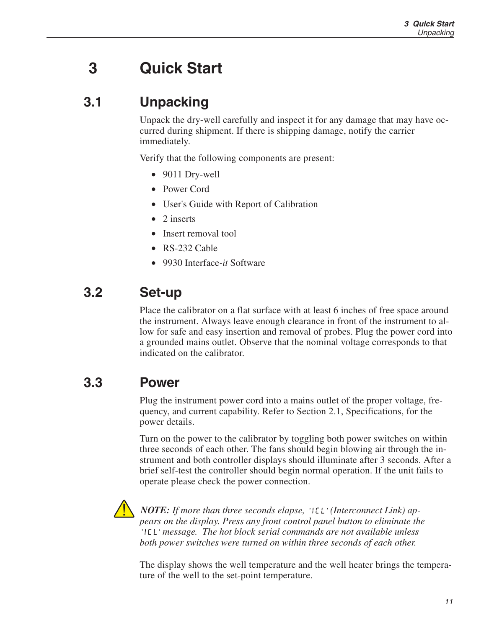# <span id="page-16-0"></span>**3 Quick Start**

## **3.1 Unpacking**

Unpack the dry-well carefully and inspect it for any damage that may have occurred during shipment. If there is shipping damage, notify the carrier immediately.

Verify that the following components are present:

- 9011 Dry-well
- Power Cord
- User's Guide with Report of Calibration
- 2 inserts
- Insert removal tool
- RS-232 Cable
- 9930 Interface*-it* Software

## **3.2 Set-up**

Place the calibrator on a flat surface with at least 6 inches of free space around the instrument. Always leave enough clearance in front of the instrument to allow for safe and easy insertion and removal of probes. Plug the power cord into a grounded mains outlet. Observe that the nominal voltage corresponds to that indicated on the calibrator.

### **3.3 Power**

Plug the instrument power cord into a mains outlet of the proper voltage, frequency, and current capability. Refer to Section [2.1,](#page-13-0) Specifications, for the power details.

Turn on the power to the calibrator by toggling both power switches on within three seconds of each other. The fans should begin blowing air through the instrument and both controller displays should illuminate after 3 seconds. After a brief self-test the controller should begin normal operation. If the unit fails to operate please check the power connection.



*NOTE: If more than three seconds elapse, 'ILL' (Interconnect Link) appears on the display. Press any front control panel button to eliminate the message. The hot block serial commands are not available unless both power switches were turned on within three seconds of each other.*

The display shows the well temperature and the well heater brings the temperature of the well to the set-point temperature.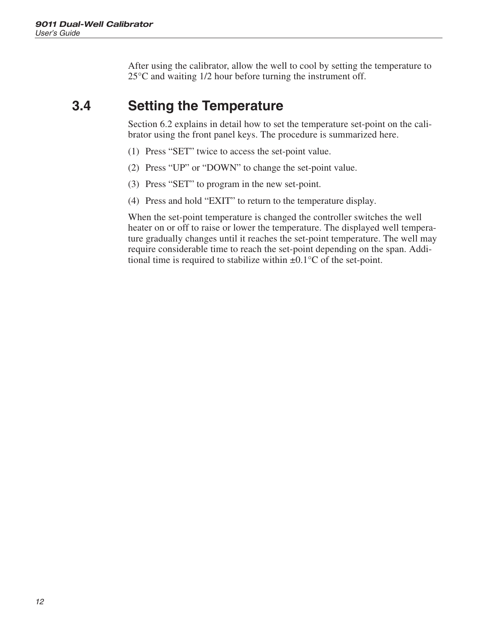<span id="page-17-0"></span>After using the calibrator, allow the well to cool by setting the temperature to 25°C and waiting 1/2 hour before turning the instrument off.

### **3.4 Setting the Temperature**

Section [6.2](#page-22-0) explains in detail how to set the temperature set-point on the calibrator using the front panel keys. The procedure is summarized here.

- (1) Press "SET" twice to access the set-point value.
- (2) Press "UP" or "DOWN" to change the set-point value.
- (3) Press "SET" to program in the new set-point.
- (4) Press and hold "EXIT" to return to the temperature display.

When the set-point temperature is changed the controller switches the well heater on or off to raise or lower the temperature. The displayed well temperature gradually changes until it reaches the set-point temperature. The well may require considerable time to reach the set-point depending on the span. Additional time is required to stabilize within  $\pm 0.1^{\circ}$ C of the set-point.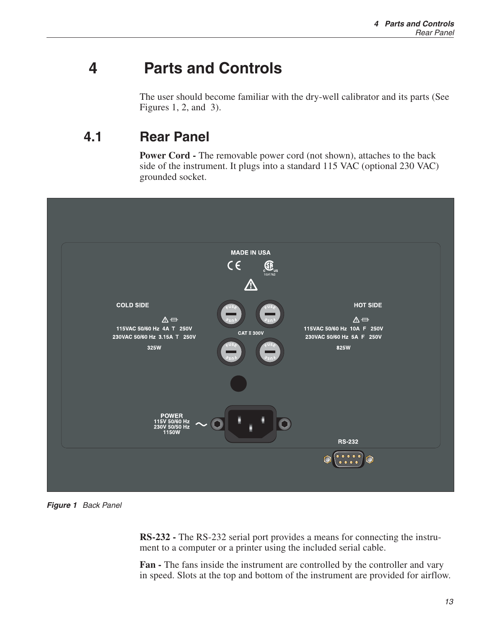## <span id="page-18-0"></span>**4 Parts and Controls**

The user should become familiar with the dry-well calibrator and its parts (See Figures [1](#page-17-0), [2](#page-18-0), and [3](#page-20-0)).

### **4.1 Rear Panel**

**Power Cord -** The removable power cord (not shown), attaches to the back side of the instrument. It plugs into a standard 115 VAC (optional 230 VAC) grounded socket.



**Figure 1** Back Panel

**RS-232 -** The RS-232 serial port provides a means for connecting the instrument to a computer or a printer using the included serial cable.

**Fan -** The fans inside the instrument are controlled by the controller and vary in speed. Slots at the top and bottom of the instrument are provided for airflow.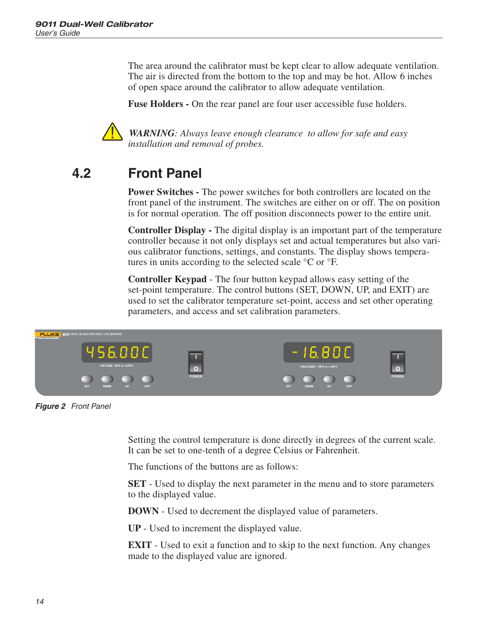<span id="page-19-0"></span>The area around the calibrator must be kept clear to allow adequate ventilation. The air is directed from the bottom to the top and may be hot. Allow 6 inches of open space around the calibrator to allow adequate ventilation.

**Fuse Holders -** On the rear panel are four user accessible fuse holders.



*WARNING: Always leave enough clearance to allow for safe and easy installation and removal of probes.*

## **4.2 Front Panel**

**Power Switches -** The power switches for both controllers are located on the front panel of the instrument. The switches are either on or off. The on position is for normal operation. The off position disconnects power to the entire unit.

**Controller Display -** The digital display is an important part of the temperature controller because it not only displays set and actual temperatures but also various calibrator functions, settings, and constants. The display shows temperatures in units according to the selected scale °C or °F.

**Controller Keypad** - The four button keypad allows easy setting of the set-point temperature. The control buttons (SET, DOWN, UP, and EXIT) are used to set the calibrator temperature set-point, access and set other operating parameters, and access and set calibration parameters.



**Figure 2** Front Panel

Setting the control temperature is done directly in degrees of the current scale. It can be set to one-tenth of a degree Celsius or Fahrenheit.

The functions of the buttons are as follows:

**SET** - Used to display the next parameter in the menu and to store parameters to the displayed value.

**DOWN** - Used to decrement the displayed value of parameters.

**UP** - Used to increment the displayed value.

**EXIT** - Used to exit a function and to skip to the next function. Any changes made to the displayed value are ignored.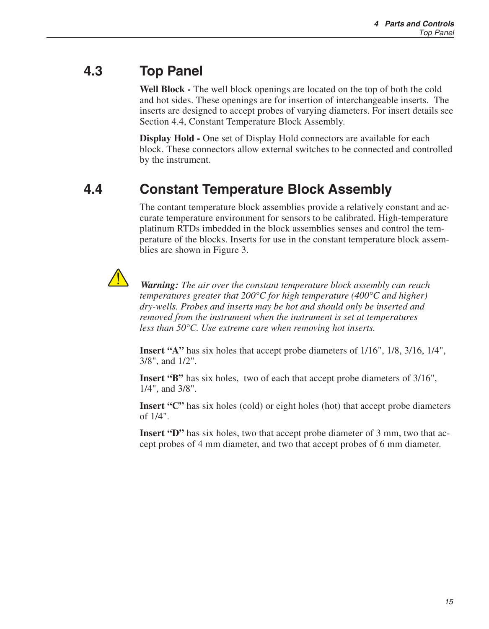### <span id="page-20-0"></span>**4.3 Top Panel**

**Well Block -** The well block openings are located on the top of both the cold and hot sides. These openings are for insertion of interchangeable inserts. The inserts are designed to accept probes of varying diameters. For insert details see Section [4.4,](#page-19-0) Constant Temperature Block Assembly.

**Display Hold -** One set of Display Hold connectors are available for each block. These connectors allow external switches to be connected and controlled by the instrument.

### **4.4 Constant Temperature Block Assembly**

The contant temperature block assemblies provide a relatively constant and accurate temperature environment for sensors to be calibrated. High-temperature platinum RTDs imbedded in the block assemblies senses and control the temperature of the blocks. Inserts for use in the constant temperature block assemblies are shown in Figure [3.](#page-20-0)



*Warning: The air over the constant temperature block assembly can reach temperatures greater that 200°C for high temperature (400°C and higher) dry-wells. Probes and inserts may be hot and should only be inserted and removed from the instrument when the instrument is set at temperatures less than 50°C. Use extreme care when removing hot inserts.*

**Insert "A"** has six holes that accept probe diameters of 1/16", 1/8, 3/16, 1/4", 3/8", and 1/2".

**Insert "B"** has six holes, two of each that accept probe diameters of 3/16", 1/4", and 3/8".

**Insert "C"** has six holes (cold) or eight holes (hot) that accept probe diameters of 1/4".

**Insert "D"** has six holes, two that accept probe diameter of 3 mm, two that accept probes of 4 mm diameter, and two that accept probes of 6 mm diameter.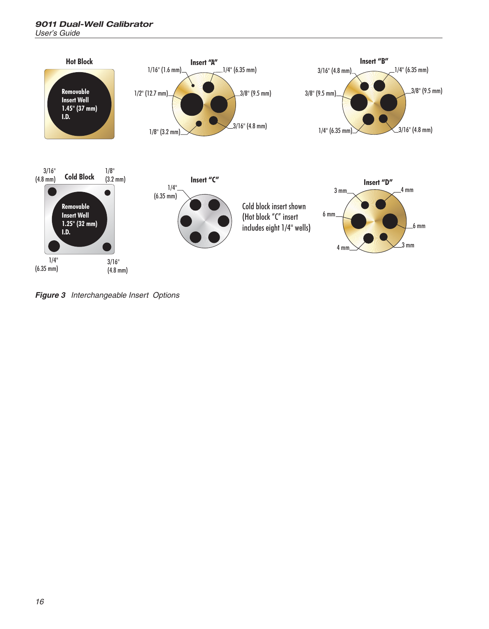<span id="page-21-0"></span>

**Figure 3** Interchangeable Insert Options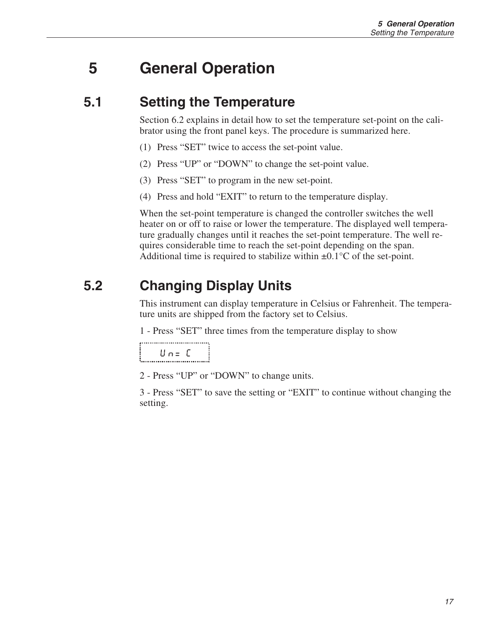## <span id="page-22-0"></span>**5 General Operation**

### **5.1 Setting the Temperature**

Section [6.2](#page-22-0) explains in detail how to set the temperature set-point on the calibrator using the front panel keys. The procedure is summarized here.

- (1) Press "SET" twice to access the set-point value.
- (2) Press "UP" or "DOWN" to change the set-point value.
- (3) Press "SET" to program in the new set-point.
- (4) Press and hold "EXIT" to return to the temperature display.

When the set-point temperature is changed the controller switches the well heater on or off to raise or lower the temperature. The displayed well temperature gradually changes until it reaches the set-point temperature. The well requires considerable time to reach the set-point depending on the span. Additional time is required to stabilize within  $\pm 0.1^{\circ}$ C of the set-point.

## **5.2 Changing Display Units**

This instrument can display temperature in Celsius or Fahrenheit. The temperature units are shipped from the factory set to Celsius.

1 - Press "SET" three times from the temperature display to show

 $U_{n} = C$ 

2 - Press "UP" or "DOWN" to change units.

3 - Press "SET" to save the setting or "EXIT" to continue without changing the setting.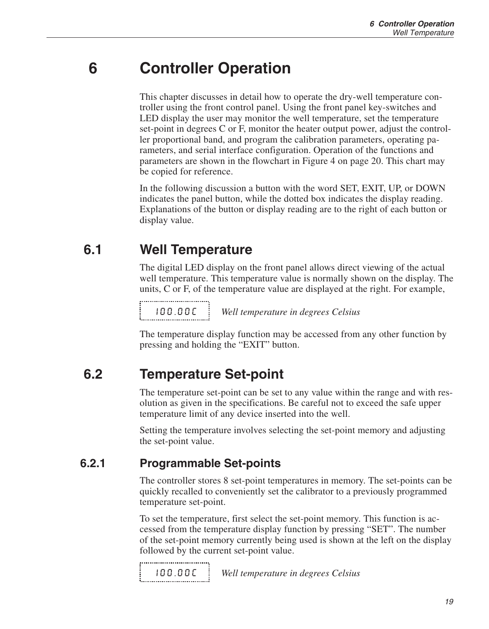## <span id="page-24-0"></span>**6 Controller Operation**

This chapter discusses in detail how to operate the dry-well temperature controller using the front control panel. Using the front panel key-switches and LED display the user may monitor the well temperature, set the temperature set-point in degrees C or F, monitor the heater output power, adjust the controller proportional band, and program the calibration parameters, operating parameters, and serial interface configuration. Operation of the functions and parameters are shown in the flowchart in Figure [4](#page-23-0) on page [20.](#page-23-0) This chart may be copied for reference.

In the following discussion a button with the word SET, EXIT, UP, or DOWN indicates the panel button, while the dotted box indicates the display reading. Explanations of the button or display reading are to the right of each button or display value.

### **6.1 Well Temperature**

The digital LED display on the front panel allows direct viewing of the actual well temperature. This temperature value is normally shown on the display. The units, C or F, of the temperature value are displayed at the right. For example,

100.00C *Well temperature in degrees Celsius*

The temperature display function may be accessed from any other function by pressing and holding the "EXIT" button.

### **6.2 Temperature Set-point**

The temperature set-point can be set to any value within the range and with resolution as given in the specifications. Be careful not to exceed the safe upper temperature limit of any device inserted into the well.

Setting the temperature involves selecting the set-point memory and adjusting the set-point value.

#### **6.2.1 Programmable Set-points**

The controller stores 8 set-point temperatures in memory. The set-points can be quickly recalled to conveniently set the calibrator to a previously programmed temperature set-point.

To set the temperature, first select the set-point memory. This function is accessed from the temperature display function by pressing "SET". The number of the set-point memory currently being used is shown at the left on the display followed by the current set-point value.

100.00C *Well temperature in degrees Celsius*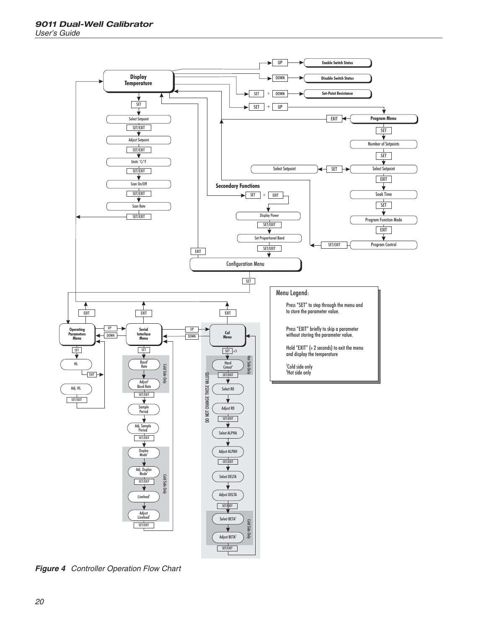<span id="page-25-0"></span>

**Figure 4** Controller Operation Flow Chart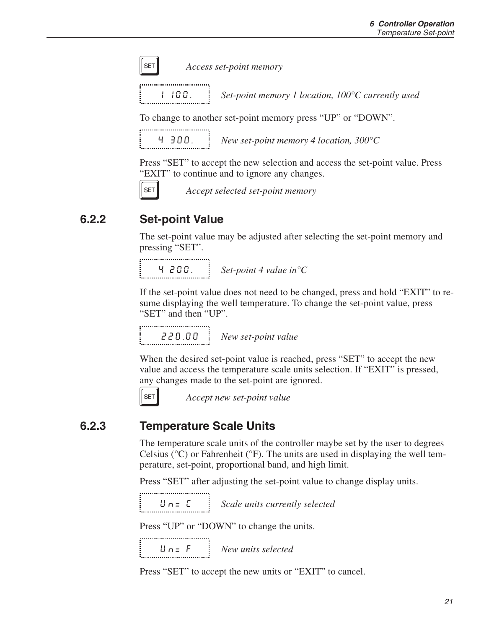<span id="page-26-0"></span>

**SET** *Access set-point memory* 

1 100. *Set-point memory 1 location, 100°C currently used*

To change to another set-point memory press "UP" or "DOWN".

4 300. *New set-point memory 4 location, 300°C*

Press "SET" to accept the new selection and access the set-point value. Press "EXIT" to continue and to ignore any changes.



**SET** *Accept selected set-point memory* 

#### **6.2.2 Set-point Value**

The set-point value may be adjusted after selecting the set-point memory and pressing "SET".

4 200. *Set-point 4 value in°C*

If the set-point value does not need to be changed, press and hold "EXIT" to resume displaying the well temperature. To change the set-point value, press "SET" and then "UP".

,,,,,,,,,,,,,,,,,,,,,,,,,,,,,,,,,, 220.00 *New set-point value*

When the desired set-point value is reached, press "SET" to accept the new value and access the temperature scale units selection. If "EXIT" is pressed, any changes made to the set-point are ignored.



**SET** *Accept new set-point value* 

#### **6.2.3 Temperature Scale Units**

The temperature scale units of the controller maybe set by the user to degrees Celsius ( ${}^{\circ}$ C) or Fahrenheit ( ${}^{\circ}$ F). The units are used in displaying the well temperature, set-point, proportional band, and high limit.

Press "SET" after adjusting the set-point value to change display units.

Un= C *Scale units currently selected*

Press "UP" or "DOWN" to change the units.

Un= F *New units selected*

Press "SET" to accept the new units or "EXIT" to cancel.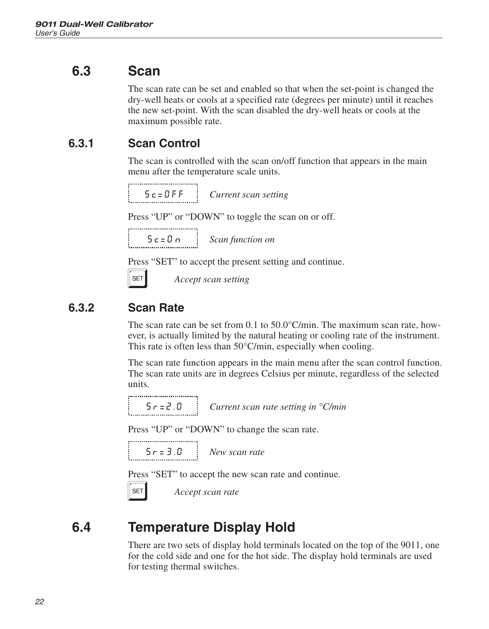### <span id="page-27-0"></span>**6.3 Scan**

The scan rate can be set and enabled so that when the set-point is changed the dry-well heats or cools at a specified rate (degrees per minute) until it reaches the new set-point. With the scan disabled the dry-well heats or cools at the maximum possible rate.

### **6.3.1 Scan Control**

The scan is controlled with the scan on/off function that appears in the main menu after the temperature scale units.

Sc=OFF *Current scan setting*

Press "UP" or "DOWN" to toggle the scan on or off.

,,,,,,,,,,,,,,,,,,,,,,,,,,,,,,,,,, Sc=On *Scan function on*

Press "SET" to accept the present setting and continue.

**SET** *Accept scan setting* 

#### **6.3.2 Scan Rate**

The scan rate can be set from 0.1 to 50.0°C/min. The maximum scan rate, however, is actually limited by the natural heating or cooling rate of the instrument. This rate is often less than 50°C/min, especially when cooling.

The scan rate function appears in the main menu after the scan control function. The scan rate units are in degrees Celsius per minute, regardless of the selected units.

Sr=2.0 *Current scan rate setting in °C/min*

Press "UP" or "DOWN" to change the scan rate.

Sr=3.0 *New scan rate*

Press "SET" to accept the new scan rate and continue.

**SET** *Accept scan rate* 

## **6.4 Temperature Display Hold**

There are two sets of display hold terminals located on the top of the 9011, one for the cold side and one for the hot side. The display hold terminals are used for testing thermal switches.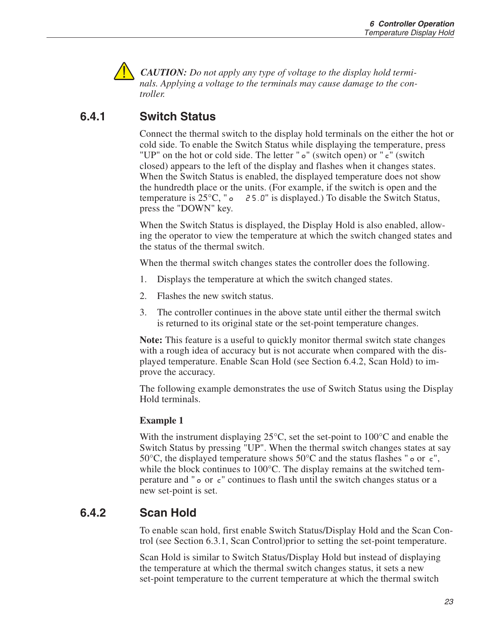<span id="page-28-0"></span>

*CAUTION: Do not apply any type of voltage to the display hold terminals. Applying a voltage to the terminals may cause damage to the controller.*

### **6.4.1 Switch Status**

Connect the thermal switch to the display hold terminals on the either the hot or cold side. To enable the Switch Status while displaying the temperature, press "UP" on the hot or cold side. The letter " $\sigma$ " (switch open) or " $\sigma$ " (switch closed) appears to the left of the display and flashes when it changes states. When the Switch Status is enabled, the displayed temperature does not show the hundredth place or the units. (For example, if the switch is open and the temperature is 25°C, "o 25.0" is displayed.) To disable the Switch Status, press the "DOWN" key.

When the Switch Status is displayed, the Display Hold is also enabled, allowing the operator to view the temperature at which the switch changed states and the status of the thermal switch.

When the thermal switch changes states the controller does the following.

- 1. Displays the temperature at which the switch changed states.
- 2. Flashes the new switch status.
- 3. The controller continues in the above state until either the thermal switch is returned to its original state or the set-point temperature changes.

**Note:** This feature is a useful to quickly monitor thermal switch state changes with a rough idea of accuracy but is not accurate when compared with the displayed temperature. Enable Scan Hold (see Section [6.4.2,](#page-26-0) Scan Hold) to improve the accuracy.

The following example demonstrates the use of Switch Status using the Display Hold terminals.

#### **Example 1**

With the instrument displaying  $25^{\circ}$ C, set the set-point to 100 $^{\circ}$ C and enable the Switch Status by pressing "UP". When the thermal switch changes states at say 50 $^{\circ}$ C, the displayed temperature shows 50 $^{\circ}$ C and the status flashes " $\circ$  or  $\epsilon$ ", while the block continues to 100<sup>o</sup>C. The display remains at the switched temperature and " $\circ$  or  $\epsilon$ " continues to flash until the switch changes status or a new set-point is set.

#### **6.4.2 Scan Hold**

To enable scan hold, first enable Switch Status/Display Hold and the Scan Control (see Section [6.3.1,](#page-25-0) Scan Control)prior to setting the set-point temperature.

Scan Hold is similar to Switch Status/Display Hold but instead of displaying the temperature at which the thermal switch changes status, it sets a new set-point temperature to the current temperature at which the thermal switch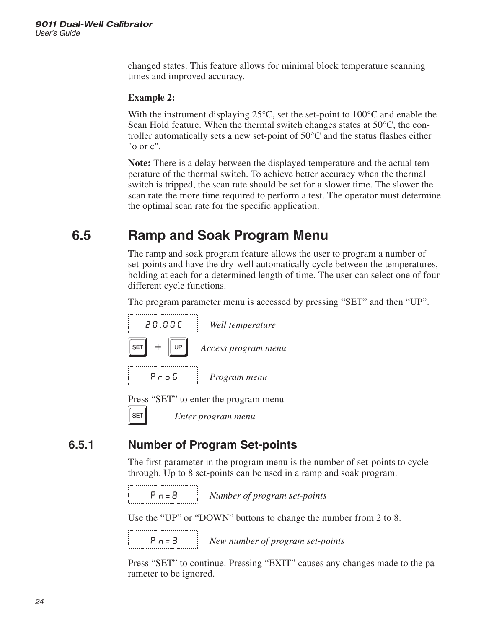<span id="page-29-0"></span>changed states. This feature allows for minimal block temperature scanning times and improved accuracy.

#### **Example 2:**

With the instrument displaying 25<sup>o</sup>C, set the set-point to 100<sup>o</sup>C and enable the Scan Hold feature. When the thermal switch changes states at 50°C, the controller automatically sets a new set-point of 50°C and the status flashes either "o or c".

**Note:** There is a delay between the displayed temperature and the actual temperature of the thermal switch. To achieve better accuracy when the thermal switch is tripped, the scan rate should be set for a slower time. The slower the scan rate the more time required to perform a test. The operator must determine the optimal scan rate for the specific application.

### **6.5 Ramp and Soak Program Menu**

The ramp and soak program feature allows the user to program a number of set-points and have the dry-well automatically cycle between the temperatures, holding at each for a determined length of time. The user can select one of four different cycle functions.

The program parameter menu is accessed by pressing "SET" and then "UP".



Press "SET" to enter the program menu

S *Enter program menu*

#### **6.5.1 Number of Program Set-points**

The first parameter in the program menu is the number of set-points to cycle through. Up to 8 set-points can be used in a ramp and soak program.

```
...................................
```
Pn=8 *Number of program set-points*

Use the "UP" or "DOWN" buttons to change the number from 2 to 8.

.................................

Pn=3 *New number of program set-points*

Press "SET" to continue. Pressing "EXIT" causes any changes made to the parameter to be ignored.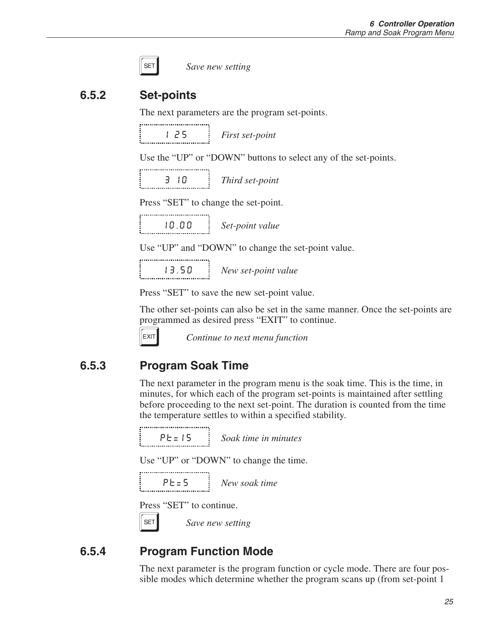<span id="page-30-0"></span>

| ×<br>__ |
|---------|
|---------|

Save new setting

#### **6.5.2 Set-points**

The next parameters are the program set-points.

1 25 *First set-point*

Use the "UP" or "DOWN" buttons to select any of the set-points.

3 10 *Third set-point*

Press "SET" to change the set-point.

10.00 *Set-point value*

Use "UP" and "DOWN" to change the set-point value.

13.50 *New set-point value*

Press "SET" to save the new set-point value.

The other set-points can also be set in the same manner. Once the set-points are programmed as desired press "EXIT" to continue.



EXIT **Continue to next menu function** 

#### **6.5.3 Program Soak Time**

The next parameter in the program menu is the soak time. This is the time, in minutes, for which each of the program set-points is maintained after settling before proceeding to the next set-point. The duration is counted from the time the temperature settles to within a specified stability.

,,,,,,,,,,,,,,,,,,,,,,,,,,,,,,,,,, Pt=15 *Soak time in minutes*

Use "UP" or "DOWN" to change the time.

Pt=5 *New soak time*

Press "SET" to continue.

SET Save new setting

#### **6.5.4 Program Function Mode**

The next parameter is the program function or cycle mode. There are four possible modes which determine whether the program scans up (from set-point 1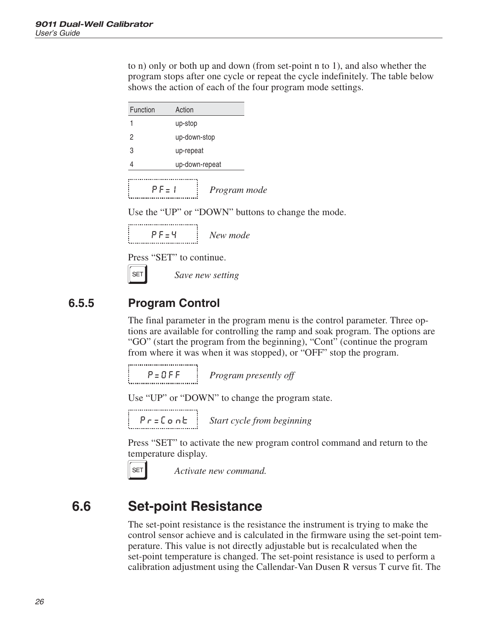<span id="page-31-0"></span>to n) only or both up and down (from set-point n to 1), and also whether the program stops after one cycle or repeat the cycle indefinitely. The table below shows the action of each of the four program mode settings.

| Function | Action       |                |  |  |  |  |  |  |  |
|----------|--------------|----------------|--|--|--|--|--|--|--|
|          | up-stop      |                |  |  |  |  |  |  |  |
| 2        | up-down-stop |                |  |  |  |  |  |  |  |
| 3        | up-repeat    |                |  |  |  |  |  |  |  |
| 4        |              | up-down-repeat |  |  |  |  |  |  |  |
|          |              |                |  |  |  |  |  |  |  |
|          | $P_{F=1}$    | Program mode   |  |  |  |  |  |  |  |

Use the "UP" or "DOWN" buttons to change the mode.

| <br>New mode |
|--------------|

Press "SET" to continue.

**SET** Save new setting

#### **6.5.5 Program Control**

The final parameter in the program menu is the control parameter. Three options are available for controlling the ramp and soak program. The options are "GO" (start the program from the beginning), "Cont" (continue the program from where it was when it was stopped), or "OFF" stop the program.

P=OFF *Program presently off*

Use "UP" or "DOWN" to change the program state.

Pr=Cont *Start cycle from beginning*

Press "SET" to activate the new program control command and return to the temperature display.



SET **Activate new command.** 

### **6.6 Set-point Resistance**

The set-point resistance is the resistance the instrument is trying to make the control sensor achieve and is calculated in the firmware using the set-point temperature. This value is not directly adjustable but is recalculated when the set-point temperature is changed. The set-point resistance is used to perform a calibration adjustment using the Callendar-Van Dusen R versus T curve fit. The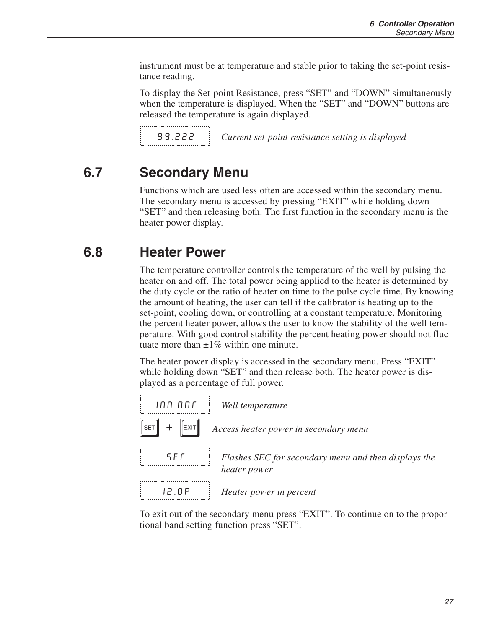<span id="page-32-0"></span>instrument must be at temperature and stable prior to taking the set-point resistance reading.

To display the Set-point Resistance, press "SET" and "DOWN" simultaneously when the temperature is displayed. When the "SET" and "DOWN" buttons are released the temperature is again displayed.

99.222 *Current set-point resistance setting is displayed*

### **6.7 Secondary Menu**

Functions which are used less often are accessed within the secondary menu. The secondary menu is accessed by pressing "EXIT" while holding down "SET" and then releasing both. The first function in the secondary menu is the heater power display.

### **6.8 Heater Power**

The temperature controller controls the temperature of the well by pulsing the heater on and off. The total power being applied to the heater is determined by the duty cycle or the ratio of heater on time to the pulse cycle time. By knowing the amount of heating, the user can tell if the calibrator is heating up to the set-point, cooling down, or controlling at a constant temperature. Monitoring the percent heater power, allows the user to know the stability of the well temperature. With good control stability the percent heating power should not fluctuate more than  $\pm 1\%$  within one minute.

The heater power display is accessed in the secondary menu. Press "EXIT" while holding down "SET" and then release both. The heater power is displayed as a percentage of full power.



To exit out of the secondary menu press "EXIT". To continue on to the proportional band setting function press "SET".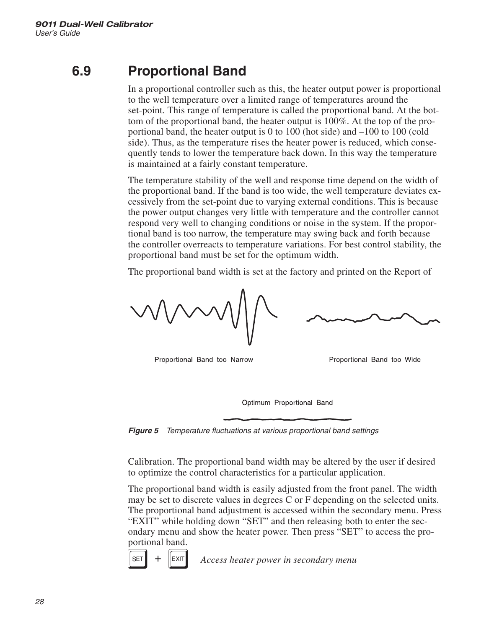### <span id="page-33-0"></span>**6.9 Proportional Band**

In a proportional controller such as this, the heater output power is proportional to the well temperature over a limited range of temperatures around the set-point. This range of temperature is called the proportional band. At the bottom of the proportional band, the heater output is 100%. At the top of the proportional band, the heater output is 0 to 100 (hot side) and –100 to 100 (cold side). Thus, as the temperature rises the heater power is reduced, which consequently tends to lower the temperature back down. In this way the temperature is maintained at a fairly constant temperature.

The temperature stability of the well and response time depend on the width of the proportional band. If the band is too wide, the well temperature deviates excessively from the set-point due to varying external conditions. This is because the power output changes very little with temperature and the controller cannot respond very well to changing conditions or noise in the system. If the proportional band is too narrow, the temperature may swing back and forth because the controller overreacts to temperature variations. For best control stability, the proportional band must be set for the optimum width.

The proportional band width is set at the factory and printed on the Report of

Proportional Band too Narrow

Proportional Band too Wide

Optimum Proportional Band

**Figure 5** Temperature fluctuations at various proportional band settings

Calibration. The proportional band width may be altered by the user if desired to optimize the control characteristics for a particular application.

The proportional band width is easily adjusted from the front panel. The width may be set to discrete values in degrees C or F depending on the selected units. The proportional band adjustment is accessed within the secondary menu. Press "EXIT" while holding down "SET" and then releasing both to enter the secondary menu and show the heater power. Then press "SET" to access the proportional band.



 $\text{SET}$   $\parallel$  +  $\parallel$  EXIT Access heater power in secondary menu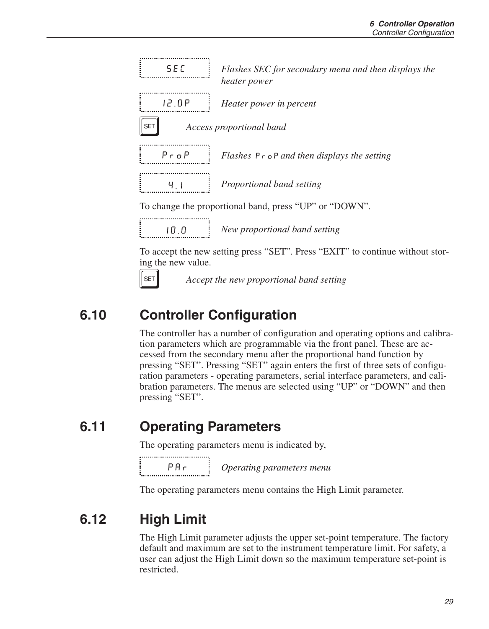<span id="page-34-0"></span>

10.0 *New proportional band setting*

To accept the new setting press "SET". Press "EXIT" to continue without storing the new value.



SET **Accept the new proportional band setting** 

### **6.10 Controller Configuration**

The controller has a number of configuration and operating options and calibration parameters which are programmable via the front panel. These are accessed from the secondary menu after the proportional band function by pressing "SET". Pressing "SET" again enters the first of three sets of configuration parameters - operating parameters, serial interface parameters, and calibration parameters. The menus are selected using "UP" or "DOWN" and then pressing "SET".

### **6.11 Operating Parameters**

The operating parameters menu is indicated by,

PAr *Operating parameters menu*

The operating parameters menu contains the High Limit parameter.

## **6.12 High Limit**

The High Limit parameter adjusts the upper set-point temperature. The factory default and maximum are set to the instrument temperature limit. For safety, a user can adjust the High Limit down so the maximum temperature set-point is restricted.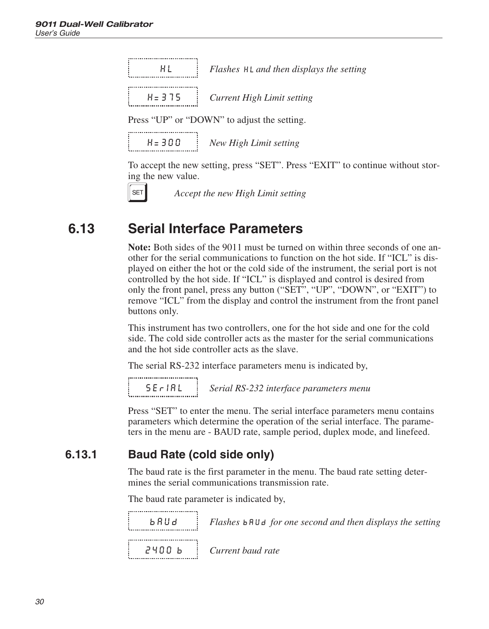<span id="page-35-0"></span>

|  |  |  |  |  |  |  |  | НL |  |  |  |  |  |  |  |  |  |
|--|--|--|--|--|--|--|--|----|--|--|--|--|--|--|--|--|--|
|  |  |  |  |  |  |  |  |    |  |  |  |  |  |  |  |  |  |
|  |  |  |  |  |  |  |  |    |  |  |  |  |  |  |  |  |  |

HL *Flashes and then displays the setting*

| 8=375 | Current High Limit setting |
|-------|----------------------------|
|       |                            |

Press "UP" or "DOWN" to adjust the setting.

H=300 *New High Limit setting*

To accept the new setting, press "SET". Press "EXIT" to continue without storing the new value.



**SET** *Accept the new High Limit setting* 

### **6.13 Serial Interface Parameters**

**Note:** Both sides of the 9011 must be turned on within three seconds of one another for the serial communications to function on the hot side. If "ICL" is displayed on either the hot or the cold side of the instrument, the serial port is not controlled by the hot side. If "ICL" is displayed and control is desired from only the front panel, press any button ("SET", "UP", "DOWN", or "EXIT") to remove "ICL" from the display and control the instrument from the front panel buttons only.

This instrument has two controllers, one for the hot side and one for the cold side. The cold side controller acts as the master for the serial communications and the hot side controller acts as the slave.

The serial RS-232 interface parameters menu is indicated by,

................................... SErIAL *Serial RS-232 interface parameters menu*

Press "SET" to enter the menu. The serial interface parameters menu contains parameters which determine the operation of the serial interface. The parameters in the menu are - BAUD rate, sample period, duplex mode, and linefeed.

#### **6.13.1 Baud Rate (cold side only)**

The baud rate is the first parameter in the menu. The baud rate setting determines the serial communications transmission rate.

The baud rate parameter is indicated by,

bAUd *Flashes for one second and then displays the setting* 2400 b *Current baud rate*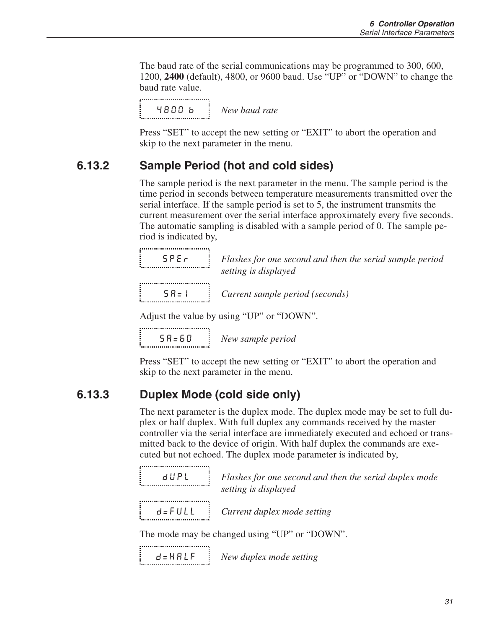<span id="page-36-0"></span>The baud rate of the serial communications may be programmed to 300, 600, 1200, **2400** (default), 4800, or 9600 baud. Use "UP" or "DOWN" to change the baud rate value.

4800 b *New baud rate*

Press "SET" to accept the new setting or "EXIT" to abort the operation and skip to the next parameter in the menu.

#### **6.13.2 Sample Period (hot and cold sides)**

The sample period is the next parameter in the menu. The sample period is the time period in seconds between temperature measurements transmitted over the serial interface. If the sample period is set to 5, the instrument transmits the current measurement over the serial interface approximately every five seconds. The automatic sampling is disabled with a sample period of 0. The sample period is indicated by,

| <b>SPE</b> c | Flashes for one second and then the serial sample period |
|--------------|----------------------------------------------------------|
|              | setting is displayed                                     |
| $5B=1$       | Current sample period (seconds)                          |

Adjust the value by using "UP" or "DOWN".

SA=60 *New sample period*

Press "SET" to accept the new setting or "EXIT" to abort the operation and skip to the next parameter in the menu.

#### **6.13.3 Duplex Mode (cold side only)**

The next parameter is the duplex mode. The duplex mode may be set to full duplex or half duplex. With full duplex any commands received by the master controller via the serial interface are immediately executed and echoed or transmitted back to the device of origin. With half duplex the commands are executed but not echoed. The duplex mode parameter is indicated by,

|  |  |  |  |  |  |  |  |  |  |  | dUPL |  |  |  |  |  |  |
|--|--|--|--|--|--|--|--|--|--|--|------|--|--|--|--|--|--|
|  |  |  |  |  |  |  |  |  |  |  |      |  |  |  |  |  |  |
|  |  |  |  |  |  |  |  |  |  |  |      |  |  |  |  |  |  |

Flashes for one second and then the serial duplex mode *setting is displayed*

,..................................

d=FULL *Current duplex mode setting*

The mode may be changed using "UP" or "DOWN".

```
d=HALF New duplex mode setting
```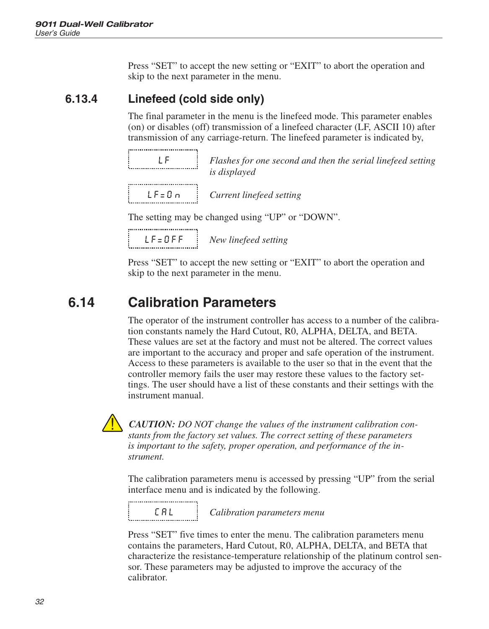<span id="page-37-0"></span>Press "SET" to accept the new setting or "EXIT" to abort the operation and skip to the next parameter in the menu.

#### **6.13.4 Linefeed (cold side only)**

The final parameter in the menu is the linefeed mode. This parameter enables (on) or disables (off) transmission of a linefeed character (LF, ASCII 10) after transmission of any carriage-return. The linefeed parameter is indicated by,

|  |  |  |  |  |  |  |  |  | 1 F |  |  |  |  |  |  |  |  |
|--|--|--|--|--|--|--|--|--|-----|--|--|--|--|--|--|--|--|
|  |  |  |  |  |  |  |  |  |     |  |  |  |  |  |  |  |  |
|  |  |  |  |  |  |  |  |  |     |  |  |  |  |  |  |  |  |
|  |  |  |  |  |  |  |  |  |     |  |  |  |  |  |  |  |  |

LF *Flashes for one second and then the serial linefeed setting is displayed*

LF=On *Current linefeed setting*

The setting may be changed using "UP" or "DOWN".

................................. LF=OFF *New linefeed setting*

Press "SET" to accept the new setting or "EXIT" to abort the operation and skip to the next parameter in the menu.

### **6.14 Calibration Parameters**

The operator of the instrument controller has access to a number of the calibration constants namely the Hard Cutout, R0, ALPHA, DELTA, and BETA. These values are set at the factory and must not be altered. The correct values are important to the accuracy and proper and safe operation of the instrument. Access to these parameters is available to the user so that in the event that the controller memory fails the user may restore these values to the factory settings. The user should have a list of these constants and their settings with the instrument manual.



*CAUTION: DO NOT change the values of the instrument calibration constants from the factory set values. The correct setting of these parameters is important to the safety, proper operation, and performance of the instrument.*

The calibration parameters menu is accessed by pressing "UP" from the serial interface menu and is indicated by the following.

...................................

CAL *Calibration parameters menu*

Press "SET" five times to enter the menu. The calibration parameters menu contains the parameters, Hard Cutout, R0, ALPHA, DELTA, and BETA that characterize the resistance-temperature relationship of the platinum control sensor. These parameters may be adjusted to improve the accuracy of the calibrator.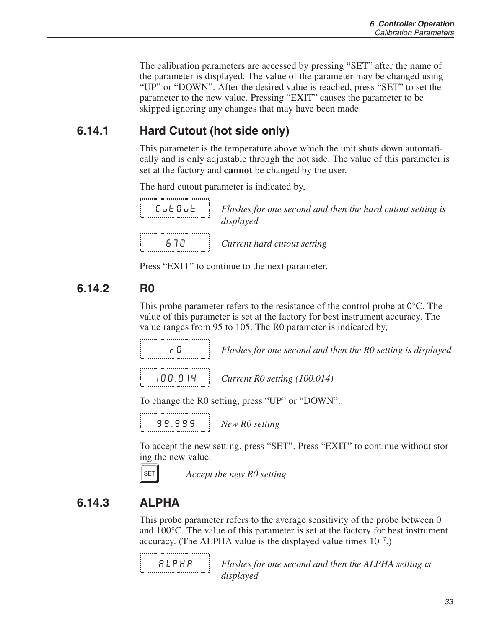The calibration parameters are accessed by pressing "SET" after the name of the parameter is displayed. The value of the parameter may be changed using "UP" or "DOWN". After the desired value is reached, press "SET" to set the parameter to the new value. Pressing "EXIT" causes the parameter to be skipped ignoring any changes that may have been made.

#### **6.14.1 Hard Cutout (hot side only)**

This parameter is the temperature above which the unit shuts down automatically and is only adjustable through the hot side. The value of this parameter is set at the factory and **cannot** be changed by the user.

The hard cutout parameter is indicated by,

CutOut *Flashes for one second and then the hard cutout setting is displayed*

670 *Current hard cutout setting*

Press "EXIT" to continue to the next parameter.

#### **6.14.2 R0**

This probe parameter refers to the resistance of the control probe at 0°C. The value of this parameter is set at the factory for best instrument accuracy. The value ranges from 95 to 105. The R0 parameter is indicated by,

r0 *Flashes for one second and then the R0 setting is displayed*

100.014 *Current R0 setting (100.014)*

To change the R0 setting, press "UP" or "DOWN".

,,,,,,,,,,,,,,,,,,,,,,,,,,,,,,,,,, 99.999 *New R0 setting*

To accept the new setting, press "SET". Press "EXIT" to continue without storing the new value.



**SET** *Accept the new RO setting* 

#### **6.14.3 ALPHA**

This probe parameter refers to the average sensitivity of the probe between 0 and 100°C. The value of this parameter is set at the factory for best instrument accuracy. (The ALPHA value is the displayed value times  $10^{-7}$ .)

,..................................

aLpHa *Flashes for one second and then the ALPHA setting is displayed*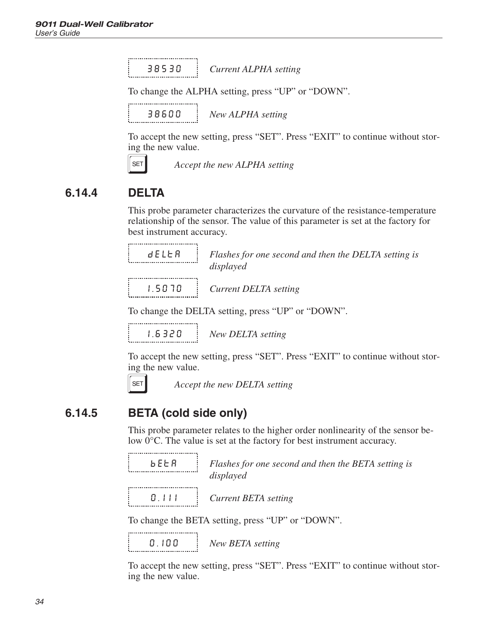<span id="page-39-0"></span>38530 *Current ALPHA setting*

To change the ALPHA setting, press "UP" or "DOWN".

38600 *New ALPHA setting*

To accept the new setting, press "SET". Press "EXIT" to continue without storing the new value.

,..........................

Accept the new ALPHA setting

#### **6.14.4 DELTA**

This probe parameter characterizes the curvature of the resistance-temperature relationship of the sensor. The value of this parameter is set at the factory for best instrument accuracy.

| 8 E L E R |  |
|-----------|--|
|           |  |

Flashes for one second and then the DELTA setting is *displayed*

1.5070 *Current DELTA setting*

To change the DELTA setting, press "UP" or "DOWN".

1.6320 *New DELTA setting*

To accept the new setting, press "SET". Press "EXIT" to continue without storing the new value.



**SET** *Accept the new DELTA setting* 

#### **6.14.5 BETA (cold side only)**

This probe parameter relates to the higher order nonlinearity of the sensor below 0°C. The value is set at the factory for best instrument accuracy.

| bEER |  |
|------|--|
|      |  |
|      |  |

Flashes for one second and then the BETA setting is *displayed*

..................................

0.111 *Current BETA setting*

To change the BETA setting, press "UP" or "DOWN".

0.100 *New BETA setting*

To accept the new setting, press "SET". Press "EXIT" to continue without storing the new value.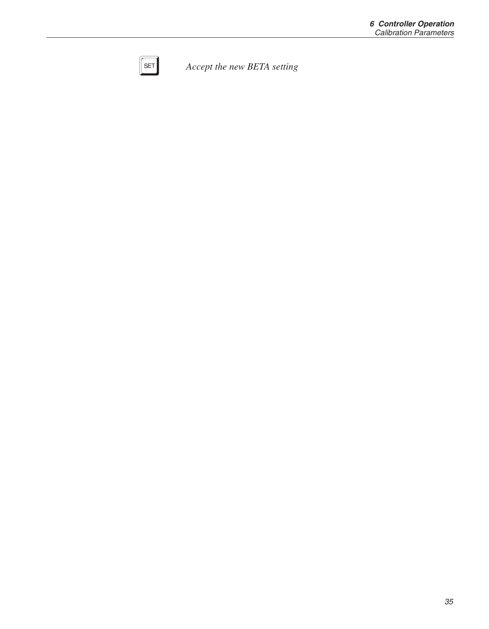<span id="page-40-0"></span>

**SET** *Accept the new BETA setting*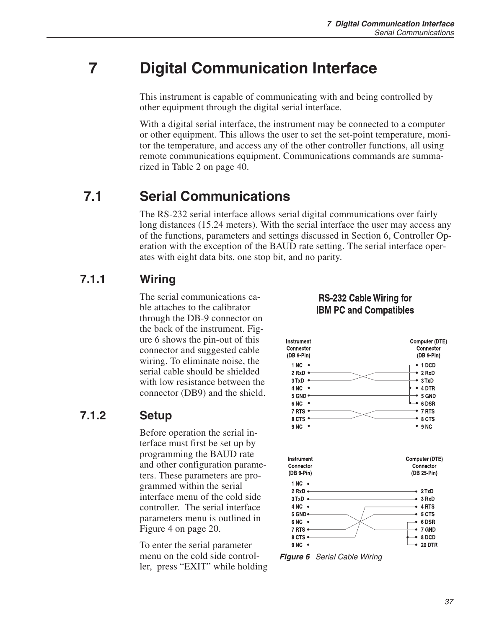## <span id="page-42-0"></span>**7 Digital Communication Interface**

This instrument is capable of communicating with and being controlled by other equipment through the digital serial interface.

With a digital serial interface, the instrument may be connected to a computer or other equipment. This allows the user to set the set-point temperature, monitor the temperature, and access any of the other controller functions, all using remote communications equipment. Communications commands are summarized in Table [2](#page-42-0) on page [40](#page-42-0).

### **7.1 Serial Communications**

The RS-232 serial interface allows serial digital communications over fairly long distances (15.24 meters). With the serial interface the user may access any of the functions, parameters and settings discussed in Section [6](#page-22-0), Controller Operation with the exception of the BAUD rate setting. The serial interface operates with eight data bits, one stop bit, and no parity.

#### **7.1.1 Wiring**

The serial communications cable attaches to the calibrator through the DB-9 connector on the back of the instrument. Figure [6](#page-39-0) shows the pin-out of this connector and suggested cable wiring. To eliminate noise, the serial cable should be shielded with low resistance between the connector (DB9) and the shield.

#### **7.1.2 Setup**

Before operation the serial interface must first be set up by programming the BAUD rate and other configuration parameters. These parameters are programmed within the serial interface menu of the cold side controller. The serial interface parameters menu is outlined in Figure [4](#page-23-0) on page [20](#page-23-0).

To enter the serial parameter menu on the cold side controller, press "EXIT" while holding

#### **RS-232 Cable Wiring for IBM PC and Compatibles**



**Figure 6** Serial Cable Wiring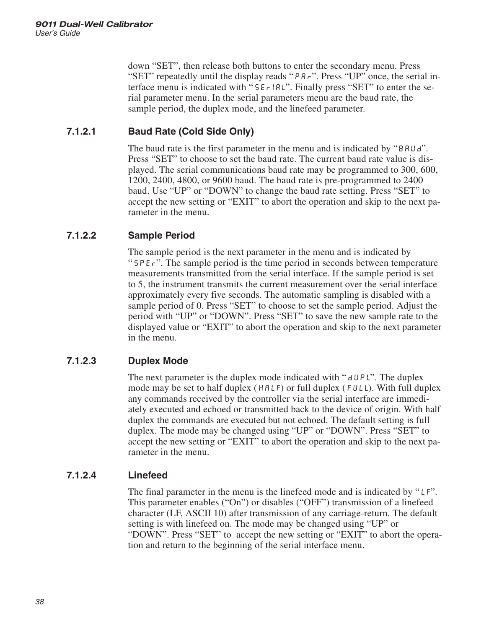<span id="page-43-0"></span>down "SET", then release both buttons to enter the secondary menu. Press "SET" repeatedly until the display reads "PAr". Press "UP" once, the serial interface menu is indicated with "SE<sub>rIBL</sub>". Finally press "SET" to enter the serial parameter menu. In the serial parameters menu are the baud rate, the sample period, the duplex mode, and the linefeed parameter.

#### **7.1.2.1 Baud Rate (Cold Side Only)**

The baud rate is the first parameter in the menu and is indicated by "BRUd". Press "SET" to choose to set the baud rate. The current baud rate value is displayed. The serial communications baud rate may be programmed to 300, 600, 1200, 2400, 4800, or 9600 baud. The baud rate is pre-programmed to 2400 baud. Use "UP" or "DOWN" to change the baud rate setting. Press "SET" to accept the new setting or "EXIT" to abort the operation and skip to the next parameter in the menu.

#### **7.1.2.2 Sample Period**

The sample period is the next parameter in the menu and is indicated by "SPEr". The sample period is the time period in seconds between temperature measurements transmitted from the serial interface. If the sample period is set to 5, the instrument transmits the current measurement over the serial interface approximately every five seconds. The automatic sampling is disabled with a sample period of 0. Press "SET" to choose to set the sample period. Adjust the period with "UP" or "DOWN". Press "SET" to save the new sample rate to the displayed value or "EXIT" to abort the operation and skip to the next parameter in the menu.

#### **7.1.2.3 Duplex Mode**

The next parameter is the duplex mode indicated with " $dUPL$ ". The duplex mode may be set to half duplex ( $H H L F$ ) or full duplex ( $F U L L$ ). With full duplex any commands received by the controller via the serial interface are immediately executed and echoed or transmitted back to the device of origin. With half duplex the commands are executed but not echoed. The default setting is full duplex. The mode may be changed using "UP" or "DOWN". Press "SET" to accept the new setting or "EXIT" to abort the operation and skip to the next parameter in the menu.

#### **7.1.2.4 Linefeed**

The final parameter in the menu is the linefeed mode and is indicated by "LF". This parameter enables ("On") or disables ("OFF") transmission of a linefeed character (LF, ASCII 10) after transmission of any carriage-return. The default setting is with linefeed on. The mode may be changed using "UP" or "DOWN". Press "SET" to accept the new setting or "EXIT" to abort the operation and return to the beginning of the serial interface menu.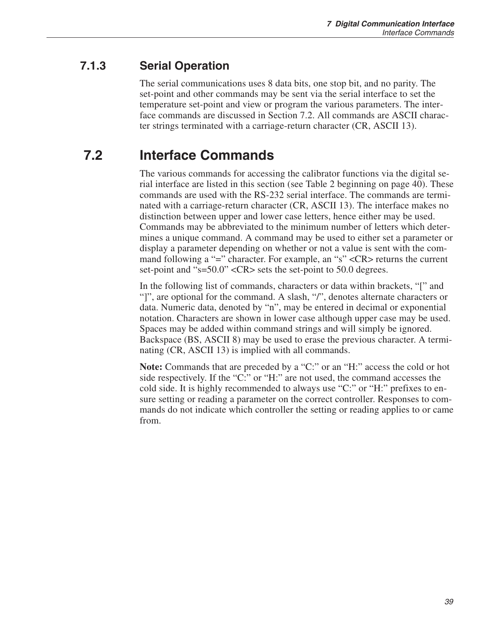#### <span id="page-44-0"></span>**7.1.3 Serial Operation**

The serial communications uses 8 data bits, one stop bit, and no parity. The set-point and other commands may be sent via the serial interface to set the temperature set-point and view or program the various parameters. The interface commands are discussed in Section [7.2](#page-41-0). All commands are ASCII character strings terminated with a carriage-return character (CR, ASCII 13).

## **7.2 Interface Commands**

The various commands for accessing the calibrator functions via the digital serial interface are listed in this section (see Table [2](#page-42-0) beginning on page [40](#page-42-0)). These commands are used with the RS-232 serial interface. The commands are terminated with a carriage-return character (CR, ASCII 13). The interface makes no distinction between upper and lower case letters, hence either may be used. Commands may be abbreviated to the minimum number of letters which determines a unique command. A command may be used to either set a parameter or display a parameter depending on whether or not a value is sent with the command following a "=" character. For example, an "s" <CR> returns the current set-point and "s=50.0" <CR> sets the set-point to 50.0 degrees.

In the following list of commands, characters or data within brackets, "[" and "]", are optional for the command. A slash, "/", denotes alternate characters or data. Numeric data, denoted by "n", may be entered in decimal or exponential notation. Characters are shown in lower case although upper case may be used. Spaces may be added within command strings and will simply be ignored. Backspace (BS, ASCII 8) may be used to erase the previous character. A terminating (CR, ASCII 13) is implied with all commands.

**Note:** Commands that are preceded by a "C:" or an "H:" access the cold or hot side respectively. If the "C:" or "H:" are not used, the command accesses the cold side. It is highly recommended to always use "C:" or "H:" prefixes to ensure setting or reading a parameter on the correct controller. Responses to commands do not indicate which controller the setting or reading applies to or came from.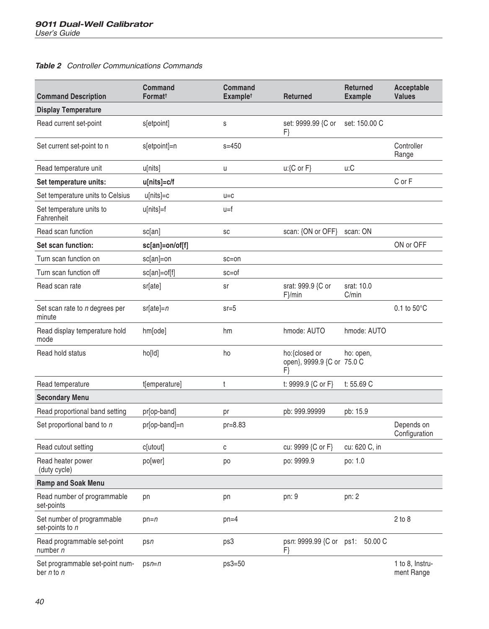#### <span id="page-45-0"></span>**Table 2** Controller Communications Commands

| <b>Command Description</b>                        | Command<br>Format <sup>+</sup> | <b>Command</b><br><b>Examplet</b> | Returned                                          | Returned<br><b>Example</b> | Acceptable<br><b>Values</b>   |
|---------------------------------------------------|--------------------------------|-----------------------------------|---------------------------------------------------|----------------------------|-------------------------------|
| <b>Display Temperature</b>                        |                                |                                   |                                                   |                            |                               |
| Read current set-point                            | s[etpoint]                     | $\mathsf S$                       | set: 9999.99 {C or<br>F}                          | set: 150.00 C              |                               |
| Set current set-point to n                        | s[etpoint]=n                   | $s = 450$                         |                                                   |                            | Controller<br>Range           |
| Read temperature unit                             | u[nits]                        | u                                 | $u:$ {C or F}                                     | u:C                        |                               |
| Set temperature units:                            | u[nits]=c/f                    |                                   |                                                   |                            | C or F                        |
| Set temperature units to Celsius                  | $u[nits]=c$                    | $U = C$                           |                                                   |                            |                               |
| Set temperature units to<br>Fahrenheit            | u[nits]=f                      | u=f                               |                                                   |                            |                               |
| Read scan function                                | sc[an]                         | SC                                | scan: {ON or OFF}                                 | scan: ON                   |                               |
| Set scan function:                                | sc[an]=on/of[f]                |                                   |                                                   |                            | ON or OFF                     |
| Turn scan function on                             | sc[an]=on                      | $sc=on$                           |                                                   |                            |                               |
| Turn scan function off                            | sc[an]=of[f]                   | $sc=of$                           |                                                   |                            |                               |
| Read scan rate                                    | sr[ate]                        | sr                                | srat: 999.9 {C or<br>$F\}$ /min                   | srat: 10.0<br>C/min        |                               |
| Set scan rate to n degrees per<br>minute          | $sr[ate]=n$                    | $sr = 5$                          |                                                   |                            | $0.1$ to $50^{\circ}$ C       |
| Read display temperature hold<br>mode             | hm[ode]                        | hm                                | hmode: AUTO                                       | hmode: AUTO                |                               |
| Read hold status                                  | ho[ld]                         | ho                                | ho:{closed or<br>open}, 9999.9 {C or 75.0 C<br>F} | ho: open,                  |                               |
| Read temperature                                  | t[emperature]                  | t                                 | t: 9999.9 {C or F}                                | t: 55.69 C                 |                               |
| <b>Secondary Menu</b>                             |                                |                                   |                                                   |                            |                               |
| Read proportional band setting                    | pr[op-band]                    | pr                                | pb: 999.99999                                     | pb: 15.9                   |                               |
| Set proportional band to n                        | pr[op-band]=n                  | $pr=8.83$                         |                                                   |                            | Depends on<br>Configuration   |
| Read cutout setting                               | c[utout]                       | C                                 | cu: 9999 {C or F}                                 | cu: 620 C, in              |                               |
| Read heater power<br>(duty cycle)                 | po[wer]                        | po                                | po: 9999.9                                        | po: 1.0                    |                               |
| Ramp and Soak Menu                                |                                |                                   |                                                   |                            |                               |
| Read number of programmable<br>set-points         | pn                             | pn                                | pn: 9                                             | pn: 2                      |                               |
| Set number of programmable<br>set-points to n     | $pn=n$                         | $pn=4$                            |                                                   |                            | $2$ to $8$                    |
| Read programmable set-point<br>number n           | psn                            | ps3                               | psn: 9999.99 {C or ps1:<br>F}                     | 50.00 C                    |                               |
| Set programmable set-point num-<br>ber $n$ to $n$ | $psn=n$                        | $ps3=50$                          |                                                   |                            | 1 to 8, Instru-<br>ment Range |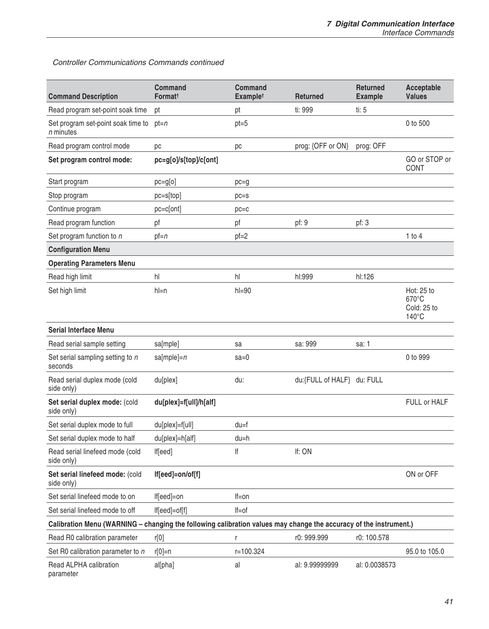Controller Communications Commands continued

| <b>Command Description</b>                                                                                        | Command<br>Formatt     | <b>Command</b><br><b>Examplet</b> | <b>Returned</b>            | <b>Returned</b><br><b>Example</b> | Acceptable<br><b>Values</b>                           |
|-------------------------------------------------------------------------------------------------------------------|------------------------|-----------------------------------|----------------------------|-----------------------------------|-------------------------------------------------------|
| Read program set-point soak time                                                                                  | pt                     | pt                                | ti: 999                    | ti: 5                             |                                                       |
| Set program set-point soak time to<br>n minutes                                                                   | $pt=n$                 | $pt=5$                            |                            |                                   | 0 to 500                                              |
| Read program control mode                                                                                         | рc                     | рc                                | prog: {OFF or ON}          | prog: OFF                         |                                                       |
| Set program control mode:                                                                                         | pc=g[o]/s[top]/c[ont]  |                                   |                            |                                   | GO or STOP or<br><b>CONT</b>                          |
| Start program                                                                                                     | $pc = g[0]$            | $pc = q$                          |                            |                                   |                                                       |
| Stop program                                                                                                      | $pc = s[top]$          | $pc = s$                          |                            |                                   |                                                       |
| Continue program                                                                                                  | pc=c[ont]              | $pc = c$                          |                            |                                   |                                                       |
| Read program function                                                                                             | pf                     | рf                                | pf: 9                      | pf: 3                             |                                                       |
| Set program function to n                                                                                         | $pf=n$                 | $pf=2$                            |                            |                                   | 1 to 4                                                |
| <b>Configuration Menu</b>                                                                                         |                        |                                   |                            |                                   |                                                       |
| <b>Operating Parameters Menu</b>                                                                                  |                        |                                   |                            |                                   |                                                       |
| Read high limit                                                                                                   | hl                     | hl                                | hl:999                     | hl:126                            |                                                       |
| Set high limit                                                                                                    | $h = n$                | $h = 90$                          |                            |                                   | Hot: 25 to<br>670°C<br>Cold: 25 to<br>$140^{\circ}$ C |
| <b>Serial Interface Menu</b>                                                                                      |                        |                                   |                            |                                   |                                                       |
| Read serial sample setting                                                                                        | sa[mple]               | sa                                | sa: 999                    | sa: 1                             |                                                       |
| Set serial sampling setting to n<br>seconds                                                                       | sa[mple]= $n$          | $sa=0$                            |                            |                                   | 0 to 999                                              |
| Read serial duplex mode (cold<br>side only)                                                                       | du[plex]               | du:                               | du:{FULL of HALF} du: FULL |                                   |                                                       |
| Set serial duplex mode: (cold<br>side only)                                                                       | du[plex]=f[ull]/h[alf] |                                   |                            |                                   | FULL or HALF                                          |
| Set serial duplex mode to full                                                                                    | du[plex]=f[ull]        | $du = f$                          |                            |                                   |                                                       |
| Set serial duplex mode to half                                                                                    | du[plex]=h[alf]        | $du = h$                          |                            |                                   |                                                       |
| Read serial linefeed mode (cold<br>side only)                                                                     | If[eed]                | lf                                | If: ON                     |                                   |                                                       |
| Set serial linefeed mode: (cold<br>side only)                                                                     | lf[eed]=on/of[f]       |                                   |                            |                                   | ON or OFF                                             |
| Set serial linefeed mode to on                                                                                    | If[eed]=on             | $If=on$                           |                            |                                   |                                                       |
| Set serial linefeed mode to off                                                                                   | lf[eed]=of[f]          | $If=of$                           |                            |                                   |                                                       |
| Calibration Menu (WARNING – changing the following calibration values may change the accuracy of the instrument.) |                        |                                   |                            |                                   |                                                       |
| Read R0 calibration parameter                                                                                     | r[0]                   | r                                 | r0: 999.999                | r0: 100.578                       |                                                       |
| Set R0 calibration parameter to n                                                                                 | $r[0]=n$               | r=100.324                         |                            |                                   | 95.0 to 105.0                                         |
| <b>Read ALPHA calibration</b><br>parameter                                                                        | al[pha]                | al                                | al: 9.99999999             | al: 0.0038573                     |                                                       |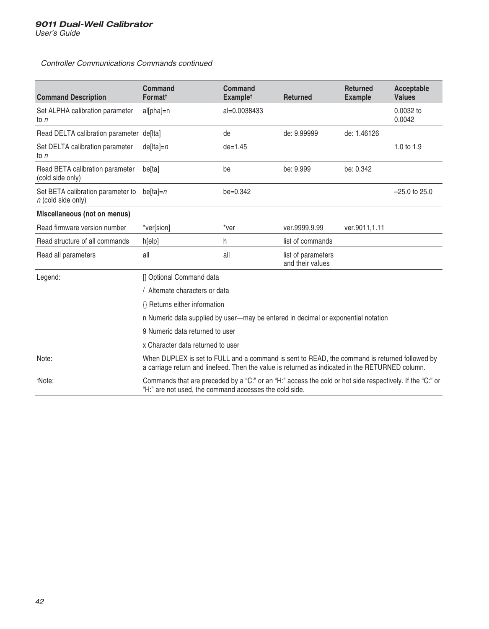<span id="page-47-0"></span>Controller Communications Commands continued

| <b>Command Description</b>                              | Command<br>Formatt                                                                                                                                                                               | Command<br>Example <sup>t</sup> | <b>Returned</b>                        | <b>Returned</b><br><b>Example</b> | Acceptable<br><b>Values</b> |
|---------------------------------------------------------|--------------------------------------------------------------------------------------------------------------------------------------------------------------------------------------------------|---------------------------------|----------------------------------------|-----------------------------------|-----------------------------|
| Set ALPHA calibration parameter<br>to $n$               | al[pha]=n                                                                                                                                                                                        | al=0.0038433                    |                                        |                                   | 0.0032 to<br>0.0042         |
| Read DELTA calibration parameter de[Ita]                |                                                                                                                                                                                                  | de                              | de: 9.99999                            | de: 1.46126                       |                             |
| Set DELTA calibration parameter<br>to $n$               | $de[Ita]=n$                                                                                                                                                                                      | $de = 1.45$                     |                                        |                                   | 1.0 to 1.9                  |
| Read BETA calibration parameter<br>(cold side only)     | be[ta]                                                                                                                                                                                           | be                              | be: 9.999                              | be: 0.342                         |                             |
| Set BETA calibration parameter to<br>n (cold side only) | be[ta]= $n$                                                                                                                                                                                      | $be = 0.342$                    |                                        |                                   | $-25.0$ to 25.0             |
| Miscellaneous (not on menus)                            |                                                                                                                                                                                                  |                                 |                                        |                                   |                             |
| Read firmware version number                            | *ver[sion]                                                                                                                                                                                       | *ver                            | ver.9999,9.99                          | ver.9011,1.11                     |                             |
| Read structure of all commands                          | h[elp]                                                                                                                                                                                           | h                               | list of commands                       |                                   |                             |
| Read all parameters                                     | all                                                                                                                                                                                              | all                             | list of parameters<br>and their values |                                   |                             |
| Legend:                                                 | [] Optional Command data                                                                                                                                                                         |                                 |                                        |                                   |                             |
|                                                         | / Alternate characters or data                                                                                                                                                                   |                                 |                                        |                                   |                             |
|                                                         | {} Returns either information                                                                                                                                                                    |                                 |                                        |                                   |                             |
|                                                         | n Numeric data supplied by user-may be entered in decimal or exponential notation                                                                                                                |                                 |                                        |                                   |                             |
|                                                         | 9 Numeric data returned to user                                                                                                                                                                  |                                 |                                        |                                   |                             |
|                                                         | x Character data returned to user                                                                                                                                                                |                                 |                                        |                                   |                             |
| Note:                                                   | When DUPLEX is set to FULL and a command is sent to READ, the command is returned followed by<br>a carriage return and linefeed. Then the value is returned as indicated in the RETURNED column. |                                 |                                        |                                   |                             |
| tNote:                                                  | Commands that are preceded by a "C:" or an "H:" access the cold or hot side respectively. If the "C:" or<br>"H:" are not used, the command accesses the cold side.                               |                                 |                                        |                                   |                             |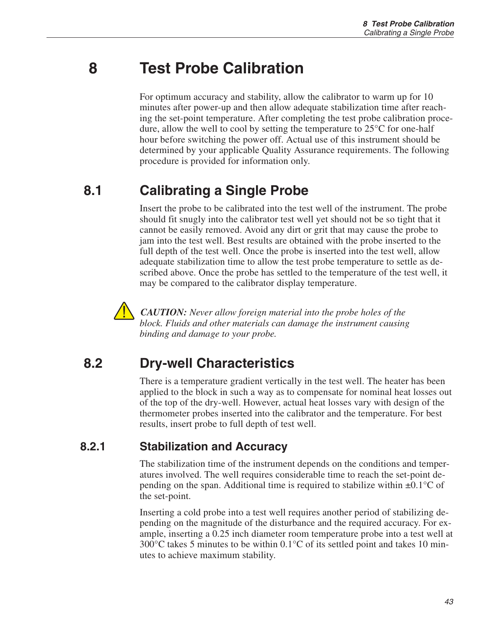## **8 Test Probe Calibration**

For optimum accuracy and stability, allow the calibrator to warm up for 10 minutes after power-up and then allow adequate stabilization time after reaching the set-point temperature. After completing the test probe calibration procedure, allow the well to cool by setting the temperature to  $25^{\circ}$ C for one-half hour before switching the power off. Actual use of this instrument should be determined by your applicable Quality Assurance requirements. The following procedure is provided for information only.

### **8.1 Calibrating a Single Probe**

Insert the probe to be calibrated into the test well of the instrument. The probe should fit snugly into the calibrator test well yet should not be so tight that it cannot be easily removed. Avoid any dirt or grit that may cause the probe to jam into the test well. Best results are obtained with the probe inserted to the full depth of the test well. Once the probe is inserted into the test well, allow adequate stabilization time to allow the test probe temperature to settle as described above. Once the probe has settled to the temperature of the test well, it may be compared to the calibrator display temperature.



*CAUTION: Never allow foreign material into the probe holes of the block. Fluids and other materials can damage the instrument causing binding and damage to your probe.*

### **8.2 Dry-well Characteristics**

There is a temperature gradient vertically in the test well. The heater has been applied to the block in such a way as to compensate for nominal heat losses out of the top of the dry-well. However, actual heat losses vary with design of the thermometer probes inserted into the calibrator and the temperature. For best results, insert probe to full depth of test well.

#### **8.2.1 Stabilization and Accuracy**

The stabilization time of the instrument depends on the conditions and temperatures involved. The well requires considerable time to reach the set-point depending on the span. Additional time is required to stabilize within  $\pm 0.1^{\circ}$ C of the set-point.

Inserting a cold probe into a test well requires another period of stabilizing depending on the magnitude of the disturbance and the required accuracy. For example, inserting a 0.25 inch diameter room temperature probe into a test well at  $300^{\circ}$ C takes 5 minutes to be within  $0.1^{\circ}$ C of its settled point and takes 10 minutes to achieve maximum stability.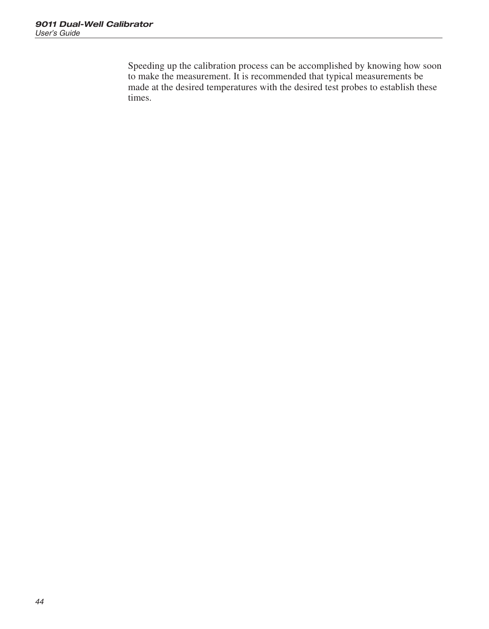<span id="page-49-0"></span>Speeding up the calibration process can be accomplished by knowing how soon to make the measurement. It is recommended that typical measurements be made at the desired temperatures with the desired test probes to establish these times.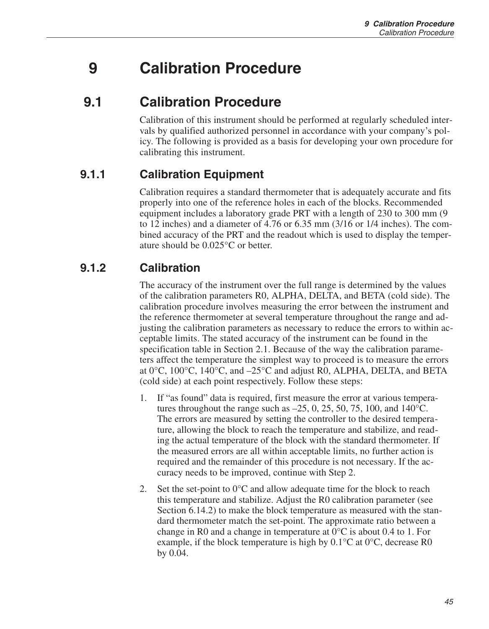## <span id="page-50-0"></span>**9 Calibration Procedure**

### **9.1 Calibration Procedure**

Calibration of this instrument should be performed at regularly scheduled intervals by qualified authorized personnel in accordance with your company's policy. The following is provided as a basis for developing your own procedure for calibrating this instrument.

#### **9.1.1 Calibration Equipment**

Calibration requires a standard thermometer that is adequately accurate and fits properly into one of the reference holes in each of the blocks. Recommended equipment includes a laboratory grade PRT with a length of 230 to 300 mm (9 to 12 inches) and a diameter of 4.76 or 6.35 mm (3/16 or 1/4 inches). The combined accuracy of the PRT and the readout which is used to display the temperature should be 0.025°C or better.

#### **9.1.2 Calibration**

The accuracy of the instrument over the full range is determined by the values of the calibration parameters R0, ALPHA, DELTA, and BETA (cold side). The calibration procedure involves measuring the error between the instrument and the reference thermometer at several temperature throughout the range and adjusting the calibration parameters as necessary to reduce the errors to within acceptable limits. The stated accuracy of the instrument can be found in the specification table in Section [2.1](#page-13-0). Because of the way the calibration parameters affect the temperature the simplest way to proceed is to measure the errors at 0°C, 100°C, 140°C, and –25°C and adjust R0, ALPHA, DELTA, and BETA (cold side) at each point respectively. Follow these steps:

- If "as found" data is required, first measure the error at various temperatures throughout the range such as  $-25$ , 0, 25, 50, 75, 100, and 140<sup>o</sup>C. The errors are measured by setting the controller to the desired temperature, allowing the block to reach the temperature and stabilize, and reading the actual temperature of the block with the standard thermometer. If the measured errors are all within acceptable limits, no further action is required and the remainder of this procedure is not necessary. If the accuracy needs to be improved, continue with Step 2.
- 2. Set the set-point to  $0^{\circ}$ C and allow adequate time for the block to reach this temperature and stabilize. Adjust the R0 calibration parameter (see Section [6.14.2\)](#page-36-0) to make the block temperature as measured with the standard thermometer match the set-point. The approximate ratio between a change in R0 and a change in temperature at  $0^{\circ}$ C is about 0.4 to 1. For example, if the block temperature is high by  $0.1^{\circ}$ C at  $0^{\circ}$ C, decrease R0 by 0.04.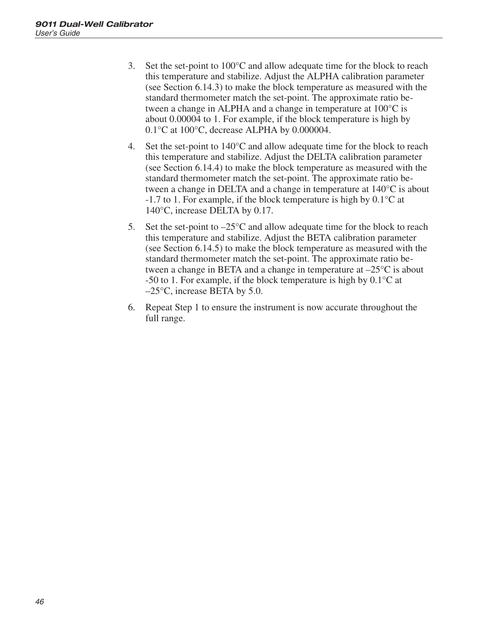- <span id="page-51-0"></span>3. Set the set-point to 100°C and allow adequate time for the block to reach this temperature and stabilize. Adjust the ALPHA calibration parameter (see Section [6.14.3](#page-36-0)) to make the block temperature as measured with the standard thermometer match the set-point. The approximate ratio between a change in ALPHA and a change in temperature at 100°C is about 0.00004 to 1. For example, if the block temperature is high by 0.1°C at 100°C, decrease ALPHA by 0.000004.
- 4. Set the set-point to  $140^{\circ}$ C and allow adequate time for the block to reach this temperature and stabilize. Adjust the DELTA calibration parameter (see Section [6.14.4](#page-37-0)) to make the block temperature as measured with the standard thermometer match the set-point. The approximate ratio between a change in DELTA and a change in temperature at 140°C is about -1.7 to 1. For example, if the block temperature is high by 0.1°C at 140°C, increase DELTA by 0.17.
- 5. Set the set-point to  $-25^{\circ}$ C and allow adequate time for the block to reach this temperature and stabilize. Adjust the BETA calibration parameter (see Section [6.14.5](#page-37-0)) to make the block temperature as measured with the standard thermometer match the set-point. The approximate ratio between a change in BETA and a change in temperature at  $-25^{\circ}$ C is about -50 to 1. For example, if the block temperature is high by  $0.1^{\circ}$ C at  $-25^{\circ}$ C, increase BETA by 5.0.
- 6. Repeat Step 1 to ensure the instrument is now accurate throughout the full range.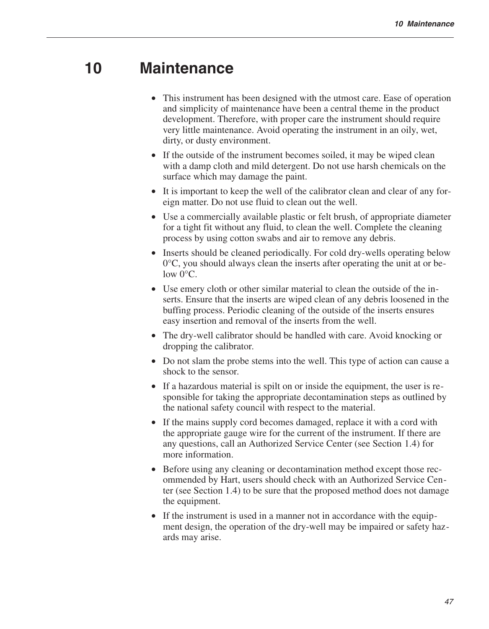### **10 Maintenance**

- This instrument has been designed with the utmost care. Ease of operation and simplicity of maintenance have been a central theme in the product development. Therefore, with proper care the instrument should require very little maintenance. Avoid operating the instrument in an oily, wet, dirty, or dusty environment.
- If the outside of the instrument becomes soiled, it may be wiped clean with a damp cloth and mild detergent. Do not use harsh chemicals on the surface which may damage the paint.
- It is important to keep the well of the calibrator clean and clear of any foreign matter. Do not use fluid to clean out the well.
- Use a commercially available plastic or felt brush, of appropriate diameter for a tight fit without any fluid, to clean the well. Complete the cleaning process by using cotton swabs and air to remove any debris.
- Inserts should be cleaned periodically. For cold dry-wells operating below 0°C, you should always clean the inserts after operating the unit at or below 0°C.
- Use emery cloth or other similar material to clean the outside of the inserts. Ensure that the inserts are wiped clean of any debris loosened in the buffing process. Periodic cleaning of the outside of the inserts ensures easy insertion and removal of the inserts from the well.
- The dry-well calibrator should be handled with care. Avoid knocking or dropping the calibrator.
- Do not slam the probe stems into the well. This type of action can cause a shock to the sensor.
- If a hazardous material is spilt on or inside the equipment, the user is responsible for taking the appropriate decontamination steps as outlined by the national safety council with respect to the material.
- If the mains supply cord becomes damaged, replace it with a cord with the appropriate gauge wire for the current of the instrument. If there are any questions, call an Authorized Service Center (see Section [1.4\)](#page-11-0) for more information.
- Before using any cleaning or decontamination method except those recommended by Hart, users should check with an Authorized Service Center (see Section [1.4\)](#page-11-0) to be sure that the proposed method does not damage the equipment.
- If the instrument is used in a manner not in accordance with the equipment design, the operation of the dry-well may be impaired or safety hazards may arise.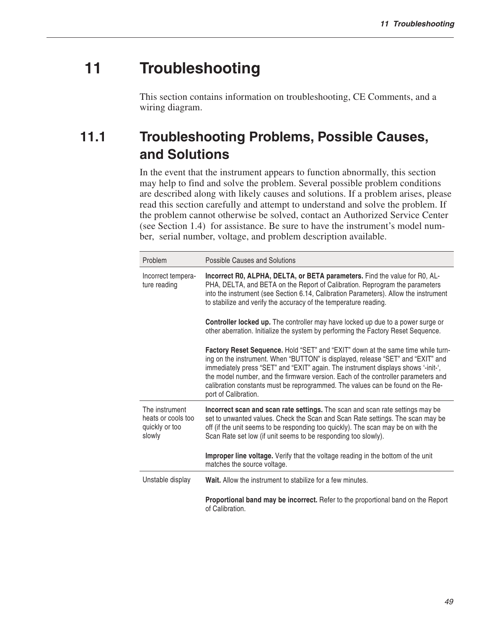## **11 Troubleshooting**

This section contains information on troubleshooting, CE Comments, and a wiring diagram.

## **11.1 Troubleshooting Problems, Possible Causes, and Solutions**

In the event that the instrument appears to function abnormally, this section may help to find and solve the problem. Several possible problem conditions are described along with likely causes and solutions. If a problem arises, please read this section carefully and attempt to understand and solve the problem. If the problem cannot otherwise be solved, contact an Authorized Service Center (see Section [1.4\)](#page-11-0) for assistance. Be sure to have the instrument's model number, serial number, voltage, and problem description available.

| Problem                                                          | Possible Causes and Solutions                                                                                                                                                                                                                                                                                                                                                                                                                          |
|------------------------------------------------------------------|--------------------------------------------------------------------------------------------------------------------------------------------------------------------------------------------------------------------------------------------------------------------------------------------------------------------------------------------------------------------------------------------------------------------------------------------------------|
| Incorrect tempera-<br>ture reading                               | Incorrect R0, ALPHA, DELTA, or BETA parameters. Find the value for R0, AL-<br>PHA, DELTA, and BETA on the Report of Calibration. Reprogram the parameters<br>into the instrument (see Section 6.14, Calibration Parameters). Allow the instrument<br>to stabilize and verify the accuracy of the temperature reading.                                                                                                                                  |
|                                                                  | <b>Controller locked up.</b> The controller may have locked up due to a power surge or<br>other aberration. Initialize the system by performing the Factory Reset Sequence.                                                                                                                                                                                                                                                                            |
|                                                                  | Factory Reset Sequence. Hold "SET" and "EXIT" down at the same time while turn-<br>ing on the instrument. When "BUTTON" is displayed, release "SET" and "EXIT" and<br>immediately press "SET" and "EXIT" again. The instrument displays shows '-init-',<br>the model number, and the firmware version. Each of the controller parameters and<br>calibration constants must be reprogrammed. The values can be found on the Re-<br>port of Calibration. |
| The instrument<br>heats or cools too<br>quickly or too<br>slowly | Incorrect scan and scan rate settings. The scan and scan rate settings may be<br>set to unwanted values. Check the Scan and Scan Rate settings. The scan may be<br>off (if the unit seems to be responding too quickly). The scan may be on with the<br>Scan Rate set low (if unit seems to be responding too slowly).                                                                                                                                 |
|                                                                  | <b>Improper line voltage.</b> Verify that the voltage reading in the bottom of the unit<br>matches the source voltage.                                                                                                                                                                                                                                                                                                                                 |
| Unstable display                                                 | Wait. Allow the instrument to stabilize for a few minutes.                                                                                                                                                                                                                                                                                                                                                                                             |
|                                                                  | <b>Proportional band may be incorrect.</b> Refer to the proportional band on the Report<br>of Calibration.                                                                                                                                                                                                                                                                                                                                             |